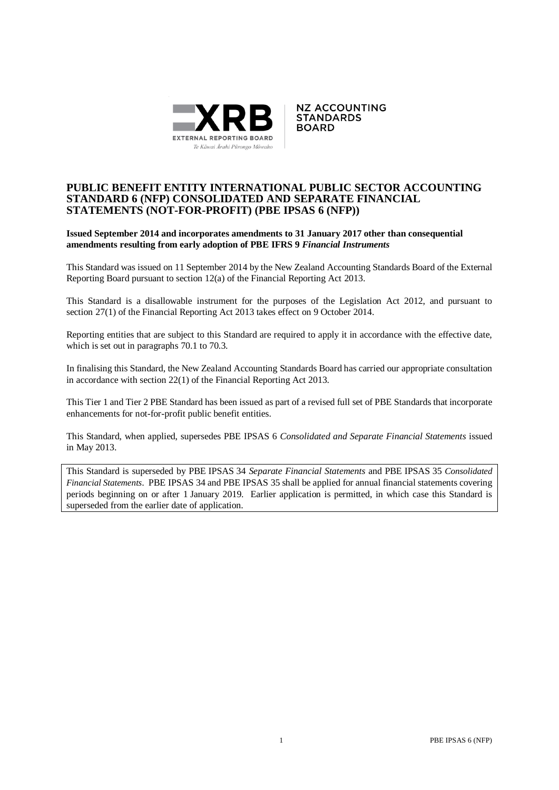

**NZ ACCOUNTING STANDARDS BOARD** 

# **PUBLIC BENEFIT ENTITY INTERNATIONAL PUBLIC SECTOR ACCOUNTING STANDARD 6 (NFP) CONSOLIDATED AND SEPARATE FINANCIAL STATEMENTS (NOT-FOR-PROFIT) (PBE IPSAS 6 (NFP))**

# **Issued September 2014 and incorporates amendments to 31 January 2017 other than consequential amendments resulting from early adoption of PBE IFRS 9** *Financial Instruments*

This Standard was issued on 11 September 2014 by the New Zealand Accounting Standards Board of the External Reporting Board pursuant to section 12(a) of the Financial Reporting Act 2013.

This Standard is a disallowable instrument for the purposes of the Legislation Act 2012, and pursuant to section 27(1) of the Financial Reporting Act 2013 takes effect on 9 October 2014.

Reporting entities that are subject to this Standard are required to apply it in accordance with the effective date, which is set out in paragraphs 70.1 to 70.3.

In finalising this Standard, the New Zealand Accounting Standards Board has carried our appropriate consultation in accordance with section 22(1) of the Financial Reporting Act 2013.

This Tier 1 and Tier 2 PBE Standard has been issued as part of a revised full set of PBE Standards that incorporate enhancements for not-for-profit public benefit entities.

This Standard, when applied, supersedes PBE IPSAS 6 *Consolidated and Separate Financial Statements* issued in May 2013.

This Standard is superseded by PBE IPSAS 34 *Separate Financial Statements* and PBE IPSAS 35 *Consolidated Financial Statements*. PBE IPSAS 34 and PBE IPSAS 35 shall be applied for annual financial statements covering periods beginning on or after 1 January 2019. Earlier application is permitted, in which case this Standard is superseded from the earlier date of application.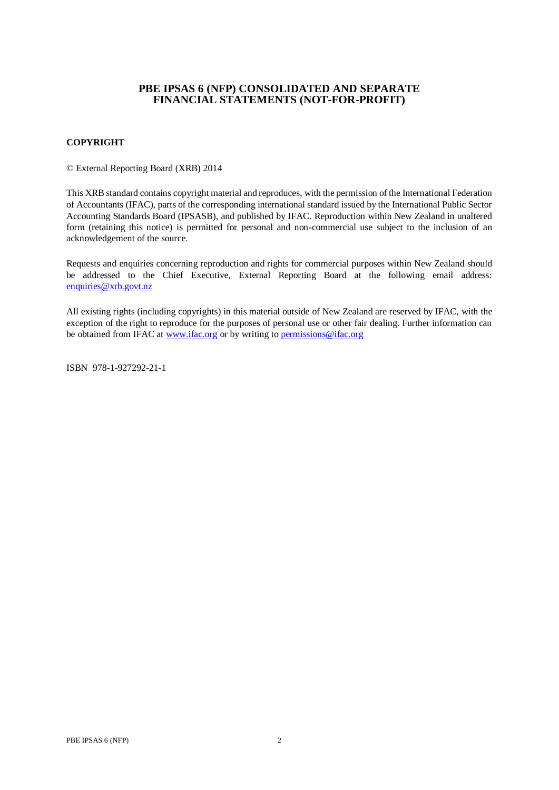# **PBE IPSAS 6 (NFP) CONSOLIDATED AND SEPARATE FINANCIAL STATEMENTS (NOT-FOR-PROFIT)**

# **COPYRIGHT**

© External Reporting Board (XRB) 2014

This XRB standard contains copyright material and reproduces, with the permission of the International Federation of Accountants (IFAC), parts of the corresponding international standard issued by the International Public Sector Accounting Standards Board (IPSASB), and published by IFAC. Reproduction within New Zealand in unaltered form (retaining this notice) is permitted for personal and non-commercial use subject to the inclusion of an acknowledgement of the source.

Requests and enquiries concerning reproduction and rights for commercial purposes within New Zealand should be addressed to the Chief Executive, External Reporting Board at the following email address: [enquiries@xrb.govt.nz](mailto:enquiries@xrb.govt.nz)

All existing rights (including copyrights) in this material outside of New Zealand are reserved by IFAC, with the exception of the right to reproduce for the purposes of personal use or other fair dealing. Further information can be obtained from IFAC a[t www.ifac.org](http://www.ifac.org/) or by writing to [permissions@ifac.org](mailto:permissions@ifac.org)

ISBN 978-1-927292-21-1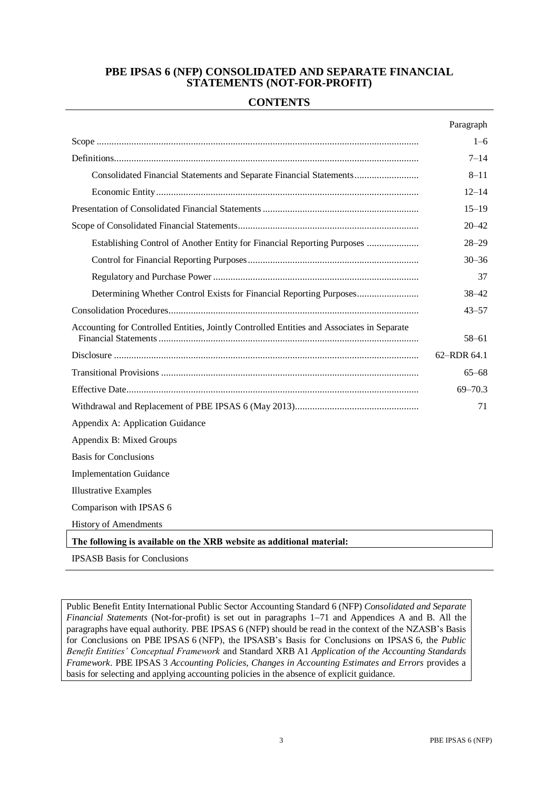# **PBE IPSAS 6 (NFP) CONSOLIDATED AND SEPARATE FINANCIAL STATEMENTS (NOT-FOR-PROFIT)**

# **CONTENTS**

|                                                                                            | Paragraph   |
|--------------------------------------------------------------------------------------------|-------------|
|                                                                                            | $1 - 6$     |
|                                                                                            | $7 - 14$    |
| Consolidated Financial Statements and Separate Financial Statements                        | $8 - 11$    |
|                                                                                            | $12 - 14$   |
|                                                                                            | $15 - 19$   |
|                                                                                            | $20 - 42$   |
| Establishing Control of Another Entity for Financial Reporting Purposes                    | $28 - 29$   |
|                                                                                            | $30 - 36$   |
|                                                                                            | 37          |
| Determining Whether Control Exists for Financial Reporting Purposes                        | $38 - 42$   |
|                                                                                            | $43 - 57$   |
| Accounting for Controlled Entities, Jointly Controlled Entities and Associates in Separate | $58 - 61$   |
|                                                                                            | 62-RDR 64.1 |
|                                                                                            | $65 - 68$   |
|                                                                                            | $69 - 70.3$ |
|                                                                                            | 71          |
| Appendix A: Application Guidance                                                           |             |
| Appendix B: Mixed Groups                                                                   |             |
| <b>Basis for Conclusions</b>                                                               |             |
| <b>Implementation Guidance</b>                                                             |             |
| <b>Illustrative Examples</b>                                                               |             |
| Comparison with IPSAS 6                                                                    |             |
| <b>History of Amendments</b>                                                               |             |
| The following is available on the XRB website as additional material:                      |             |
| <b>IPSASB Basis for Conclusions</b>                                                        |             |

Public Benefit Entity International Public Sector Accounting Standard 6 (NFP) *Consolidated and Separate Financial Statements* (Not-for-profit) is set out in paragraphs 1–71 and Appendices A and B. All the paragraphs have equal authority. PBE IPSAS 6 (NFP) should be read in the context of the NZASB's Basis for Conclusions on PBE IPSAS 6 (NFP), the IPSASB's Basis for Conclusions on IPSAS 6, the *Public Benefit Entities' Conceptual Framework* and Standard XRB A1 *Application of the Accounting Standards Framework*. PBE IPSAS 3 *Accounting Policies, Changes in Accounting Estimates and Errors* provides a basis for selecting and applying accounting policies in the absence of explicit guidance.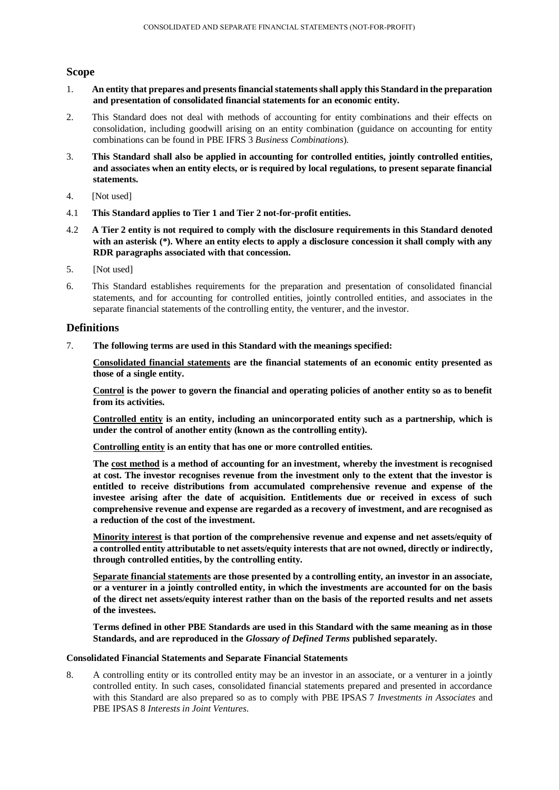# **Scope**

- 1. **An entity that prepares and presents financial statements shall apply this Standard in the preparation and presentation of consolidated financial statements for an economic entity.**
- 2. This Standard does not deal with methods of accounting for entity combinations and their effects on consolidation, including goodwill arising on an entity combination (guidance on accounting for entity combinations can be found in PBE IFRS 3 *Business Combinations*).
- 3. **This Standard shall also be applied in accounting for controlled entities, jointly controlled entities, and associates when an entity elects, or is required by local regulations, to present separate financial statements.**
- 4. [Not used]
- 4.1 **This Standard applies to Tier 1 and Tier 2 not-for-profit entities.**
- 4.2 **A Tier 2 entity is not required to comply with the disclosure requirements in this Standard denoted with an asterisk (\*). Where an entity elects to apply a disclosure concession it shall comply with any RDR paragraphs associated with that concession.**
- 5. [Not used]
- 6. This Standard establishes requirements for the preparation and presentation of consolidated financial statements, and for accounting for controlled entities, jointly controlled entities, and associates in the separate financial statements of the controlling entity, the venturer, and the investor.

# **Definitions**

7. **The following terms are used in this Standard with the meanings specified:**

**Consolidated financial statements are the financial statements of an economic entity presented as those of a single entity.**

**Control is the power to govern the financial and operating policies of another entity so as to benefit from its activities.**

**Controlled entity is an entity, including an unincorporated entity such as a partnership, which is under the control of another entity (known as the controlling entity).**

**Controlling entity is an entity that has one or more controlled entities.**

**The cost method is a method of accounting for an investment, whereby the investment is recognised at cost. The investor recognises revenue from the investment only to the extent that the investor is entitled to receive distributions from accumulated comprehensive revenue and expense of the investee arising after the date of acquisition. Entitlements due or received in excess of such comprehensive revenue and expense are regarded as a recovery of investment, and are recognised as a reduction of the cost of the investment.**

**Minority interest is that portion of the comprehensive revenue and expense and net assets/equity of a controlled entity attributable to net assets/equity interests that are not owned, directly or indirectly, through controlled entities, by the controlling entity.**

**Separate financial statements are those presented by a controlling entity, an investor in an associate, or a venturer in a jointly controlled entity, in which the investments are accounted for on the basis of the direct net assets/equity interest rather than on the basis of the reported results and net assets of the investees.**

**Terms defined in other PBE Standards are used in this Standard with the same meaning as in those Standards, and are reproduced in the** *Glossary of Defined Terms* **published separately.**

## **Consolidated Financial Statements and Separate Financial Statements**

8. A controlling entity or its controlled entity may be an investor in an associate, or a venturer in a jointly controlled entity. In such cases, consolidated financial statements prepared and presented in accordance with this Standard are also prepared so as to comply with PBE IPSAS 7 *Investments in Associates* and PBE IPSAS 8 *Interests in Joint Ventures*.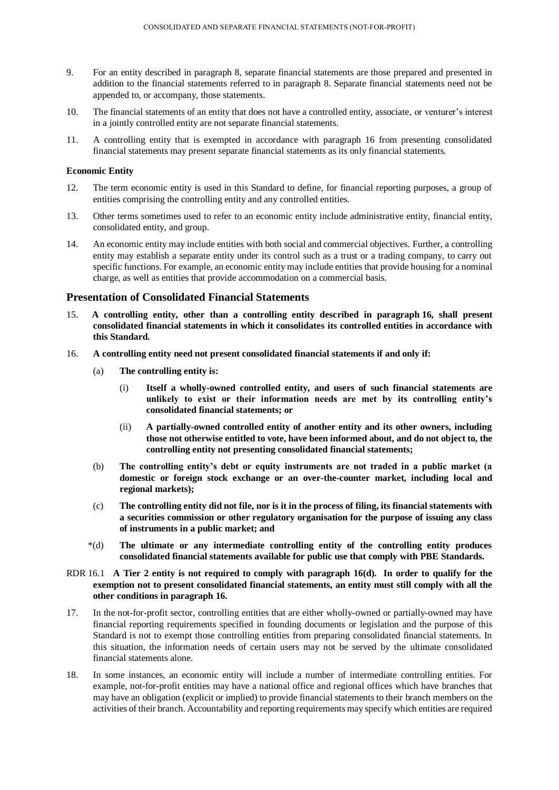- 9. For an entity described in paragraph 8, separate financial statements are those prepared and presented in addition to the financial statements referred to in paragraph 8. Separate financial statements need not be appended to, or accompany, those statements.
- 10. The financial statements of an entity that does not have a controlled entity, associate, or venturer's interest in a jointly controlled entity are not separate financial statements.
- 11. A controlling entity that is exempted in accordance with paragraph 16 from presenting consolidated financial statements may present separate financial statements as its only financial statements.

## **Economic Entity**

- 12. The term economic entity is used in this Standard to define, for financial reporting purposes, a group of entities comprising the controlling entity and any controlled entities.
- 13. Other terms sometimes used to refer to an economic entity include administrative entity, financial entity, consolidated entity, and group.
- 14. An economic entity may include entities with both social and commercial objectives. Further, a controlling entity may establish a separate entity under its control such as a trust or a trading company, to carry out specific functions. For example, an economic entity may include entities that provide housing for a nominal charge, as well as entities that provide accommodation on a commercial basis.

# **Presentation of Consolidated Financial Statements**

- 15. **A controlling entity, other than a controlling entity described in paragraph 16, shall present consolidated financial statements in which it consolidates its controlled entities in accordance with this Standard.**
- 16. **A controlling entity need not present consolidated financial statements if and only if:**
	- (a) **The controlling entity is:**
		- (i) **Itself a wholly-owned controlled entity, and users of such financial statements are unlikely to exist or their information needs are met by its controlling entity's consolidated financial statements; or**
		- (ii) **A partially-owned controlled entity of another entity and its other owners, including those not otherwise entitled to vote, have been informed about, and do not object to, the controlling entity not presenting consolidated financial statements;**
	- (b) **The controlling entity's debt or equity instruments are not traded in a public market (a domestic or foreign stock exchange or an over-the-counter market, including local and regional markets);**
	- (c) **The controlling entity did not file, nor is it in the process of filing, its financial statements with a securities commission or other regulatory organisation for the purpose of issuing any class of instruments in a public market; and**
	- \*(d) **The ultimate or any intermediate controlling entity of the controlling entity produces consolidated financial statements available for public use that comply with PBE Standards.**
- RDR 16.1 **A Tier 2 entity is not required to comply with paragraph 16(d). In order to qualify for the exemption not to present consolidated financial statements, an entity must still comply with all the other conditions in paragraph 16.**
- 17. In the not-for-profit sector, controlling entities that are either wholly-owned or partially-owned may have financial reporting requirements specified in founding documents or legislation and the purpose of this Standard is not to exempt those controlling entities from preparing consolidated financial statements. In this situation, the information needs of certain users may not be served by the ultimate consolidated financial statements alone.
- 18. In some instances, an economic entity will include a number of intermediate controlling entities. For example, not-for-profit entities may have a national office and regional offices which have branches that may have an obligation (explicit or implied) to provide financial statements to their branch members on the activities of their branch. Accountability and reporting requirements may specify which entities are required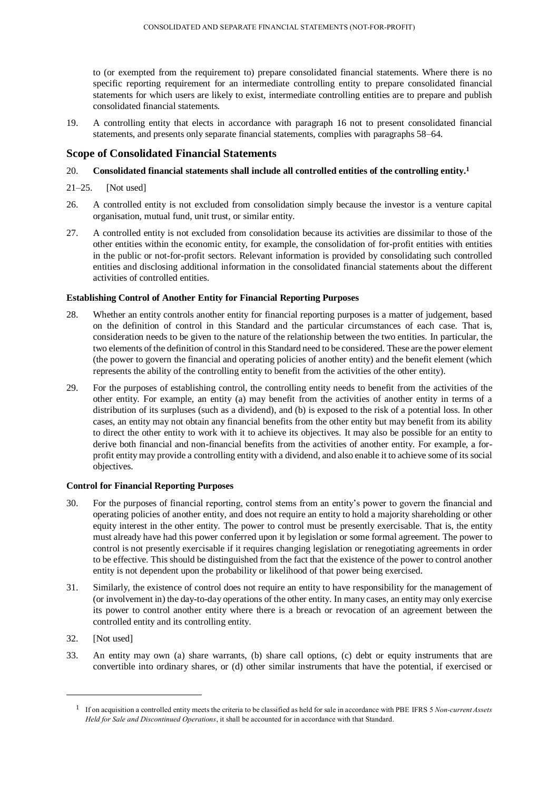to (or exempted from the requirement to) prepare consolidated financial statements. Where there is no specific reporting requirement for an intermediate controlling entity to prepare consolidated financial statements for which users are likely to exist, intermediate controlling entities are to prepare and publish consolidated financial statements.

19. A controlling entity that elects in accordance with paragraph 16 not to present consolidated financial statements, and presents only separate financial statements, complies with paragraphs 58–64.

# **Scope of Consolidated Financial Statements**

# 20. **Consolidated financial statements shall include all controlled entities of the controlling entity.<sup>1</sup>**

- 21–25. [Not used]
- 26. A controlled entity is not excluded from consolidation simply because the investor is a venture capital organisation, mutual fund, unit trust, or similar entity.
- 27. A controlled entity is not excluded from consolidation because its activities are dissimilar to those of the other entities within the economic entity, for example, the consolidation of for-profit entities with entities in the public or not-for-profit sectors. Relevant information is provided by consolidating such controlled entities and disclosing additional information in the consolidated financial statements about the different activities of controlled entities.

## **Establishing Control of Another Entity for Financial Reporting Purposes**

- 28. Whether an entity controls another entity for financial reporting purposes is a matter of judgement, based on the definition of control in this Standard and the particular circumstances of each case. That is, consideration needs to be given to the nature of the relationship between the two entities. In particular, the two elements of the definition of control in this Standard need to be considered. These are the power element (the power to govern the financial and operating policies of another entity) and the benefit element (which represents the ability of the controlling entity to benefit from the activities of the other entity).
- 29. For the purposes of establishing control, the controlling entity needs to benefit from the activities of the other entity. For example, an entity (a) may benefit from the activities of another entity in terms of a distribution of its surpluses (such as a dividend), and (b) is exposed to the risk of a potential loss. In other cases, an entity may not obtain any financial benefits from the other entity but may benefit from its ability to direct the other entity to work with it to achieve its objectives. It may also be possible for an entity to derive both financial and non-financial benefits from the activities of another entity. For example, a forprofit entity may provide a controlling entity with a dividend, and also enable it to achieve some of its social objectives.

## **Control for Financial Reporting Purposes**

- 30. For the purposes of financial reporting, control stems from an entity's power to govern the financial and operating policies of another entity, and does not require an entity to hold a majority shareholding or other equity interest in the other entity. The power to control must be presently exercisable. That is, the entity must already have had this power conferred upon it by legislation or some formal agreement. The power to control is not presently exercisable if it requires changing legislation or renegotiating agreements in order to be effective. This should be distinguished from the fact that the existence of the power to control another entity is not dependent upon the probability or likelihood of that power being exercised.
- 31. Similarly, the existence of control does not require an entity to have responsibility for the management of (or involvement in) the day-to-day operations of the other entity. In many cases, an entity may only exercise its power to control another entity where there is a breach or revocation of an agreement between the controlled entity and its controlling entity.
- 32. [Not used]

l

33. An entity may own (a) share warrants, (b) share call options, (c) debt or equity instruments that are convertible into ordinary shares, or (d) other similar instruments that have the potential, if exercised or

<sup>1</sup> If on acquisition a controlled entity meets the criteria to be classified as held for sale in accordance with PBE IFRS 5 *Non-current Assets Held for Sale and Discontinued Operations*, it shall be accounted for in accordance with that Standard.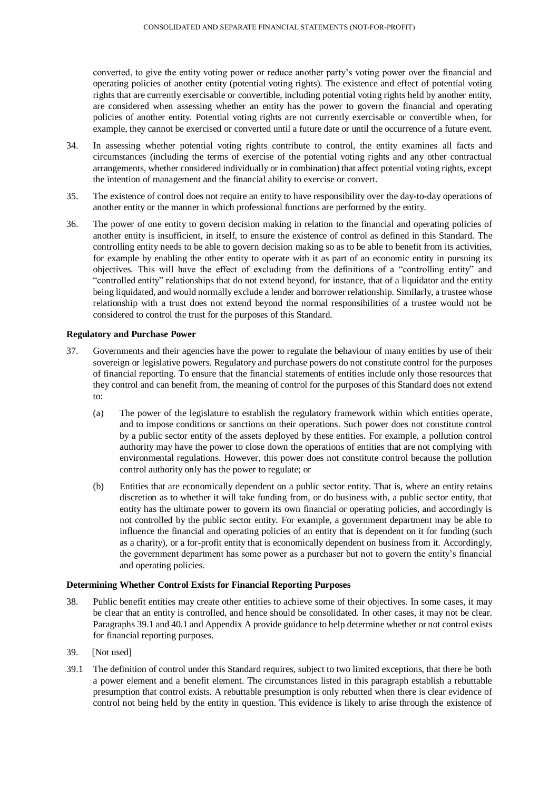converted, to give the entity voting power or reduce another party's voting power over the financial and operating policies of another entity (potential voting rights). The existence and effect of potential voting rights that are currently exercisable or convertible, including potential voting rights held by another entity, are considered when assessing whether an entity has the power to govern the financial and operating policies of another entity. Potential voting rights are not currently exercisable or convertible when, for example, they cannot be exercised or converted until a future date or until the occurrence of a future event.

- 34. In assessing whether potential voting rights contribute to control, the entity examines all facts and circumstances (including the terms of exercise of the potential voting rights and any other contractual arrangements, whether considered individually or in combination) that affect potential voting rights, except the intention of management and the financial ability to exercise or convert.
- 35. The existence of control does not require an entity to have responsibility over the day-to-day operations of another entity or the manner in which professional functions are performed by the entity.
- 36. The power of one entity to govern decision making in relation to the financial and operating policies of another entity is insufficient, in itself, to ensure the existence of control as defined in this Standard. The controlling entity needs to be able to govern decision making so as to be able to benefit from its activities, for example by enabling the other entity to operate with it as part of an economic entity in pursuing its objectives. This will have the effect of excluding from the definitions of a "controlling entity" and "controlled entity" relationships that do not extend beyond, for instance, that of a liquidator and the entity being liquidated, and would normally exclude a lender and borrower relationship. Similarly, a trustee whose relationship with a trust does not extend beyond the normal responsibilities of a trustee would not be considered to control the trust for the purposes of this Standard.

## **Regulatory and Purchase Power**

- 37. Governments and their agencies have the power to regulate the behaviour of many entities by use of their sovereign or legislative powers. Regulatory and purchase powers do not constitute control for the purposes of financial reporting. To ensure that the financial statements of entities include only those resources that they control and can benefit from, the meaning of control for the purposes of this Standard does not extend to:
	- (a) The power of the legislature to establish the regulatory framework within which entities operate, and to impose conditions or sanctions on their operations. Such power does not constitute control by a public sector entity of the assets deployed by these entities. For example, a pollution control authority may have the power to close down the operations of entities that are not complying with environmental regulations. However, this power does not constitute control because the pollution control authority only has the power to regulate; or
	- (b) Entities that are economically dependent on a public sector entity. That is, where an entity retains discretion as to whether it will take funding from, or do business with, a public sector entity, that entity has the ultimate power to govern its own financial or operating policies, and accordingly is not controlled by the public sector entity. For example, a government department may be able to influence the financial and operating policies of an entity that is dependent on it for funding (such as a charity), or a for-profit entity that is economically dependent on business from it. Accordingly, the government department has some power as a purchaser but not to govern the entity's financial and operating policies.

# **Determining Whether Control Exists for Financial Reporting Purposes**

- 38. Public benefit entities may create other entities to achieve some of their objectives. In some cases, it may be clear that an entity is controlled, and hence should be consolidated. In other cases, it may not be clear. Paragraphs 39.1 and 40.1 and Appendix A provide guidance to help determine whether or not control exists for financial reporting purposes.
- 39. [Not used]
- 39.1 The definition of control under this Standard requires, subject to two limited exceptions, that there be both a power element and a benefit element. The circumstances listed in this paragraph establish a rebuttable presumption that control exists. A rebuttable presumption is only rebutted when there is clear evidence of control not being held by the entity in question. This evidence is likely to arise through the existence of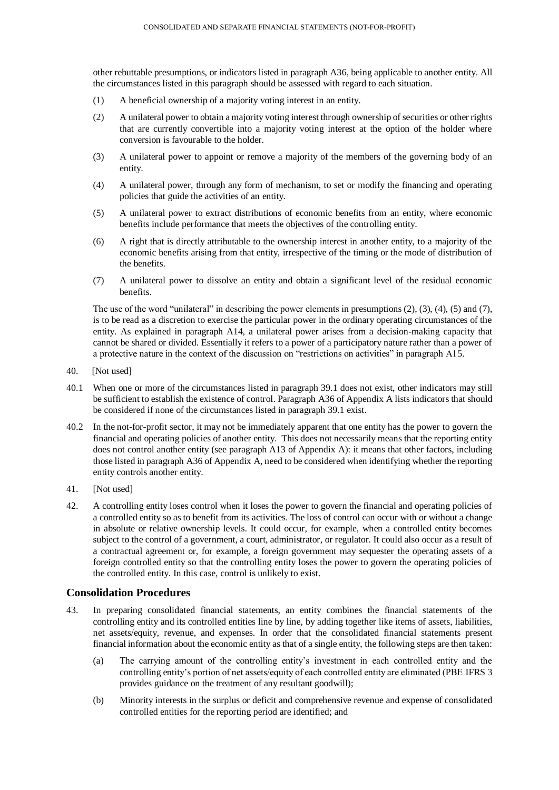other rebuttable presumptions, or indicators listed in paragraph A36, being applicable to another entity. All the circumstances listed in this paragraph should be assessed with regard to each situation.

- (1) A beneficial ownership of a majority voting interest in an entity.
- (2) A unilateral power to obtain a majority voting interest through ownership of securities or other rights that are currently convertible into a majority voting interest at the option of the holder where conversion is favourable to the holder.
- (3) A unilateral power to appoint or remove a majority of the members of the governing body of an entity.
- (4) A unilateral power, through any form of mechanism, to set or modify the financing and operating policies that guide the activities of an entity.
- (5) A unilateral power to extract distributions of economic benefits from an entity, where economic benefits include performance that meets the objectives of the controlling entity.
- (6) A right that is directly attributable to the ownership interest in another entity, to a majority of the economic benefits arising from that entity, irrespective of the timing or the mode of distribution of the benefits.
- (7) A unilateral power to dissolve an entity and obtain a significant level of the residual economic benefits.

The use of the word "unilateral" in describing the power elements in presumptions (2), (3), (4), (5) and (7), is to be read as a discretion to exercise the particular power in the ordinary operating circumstances of the entity. As explained in paragraph A14, a unilateral power arises from a decision-making capacity that cannot be shared or divided. Essentially it refers to a power of a participatory nature rather than a power of a protective nature in the context of the discussion on "restrictions on activities" in paragraph A15.

- 40. [Not used]
- 40.1 When one or more of the circumstances listed in paragraph 39.1 does not exist, other indicators may still be sufficient to establish the existence of control. Paragraph A36 of Appendix A lists indicators that should be considered if none of the circumstances listed in paragraph 39.1 exist.
- 40.2 In the not-for-profit sector, it may not be immediately apparent that one entity has the power to govern the financial and operating policies of another entity. This does not necessarily means that the reporting entity does not control another entity (see paragraph A13 of Appendix A): it means that other factors, including those listed in paragraph A36 of Appendix A, need to be considered when identifying whether the reporting entity controls another entity.
- 41. [Not used]
- 42. A controlling entity loses control when it loses the power to govern the financial and operating policies of a controlled entity so as to benefit from its activities. The loss of control can occur with or without a change in absolute or relative ownership levels. It could occur, for example, when a controlled entity becomes subject to the control of a government, a court, administrator, or regulator. It could also occur as a result of a contractual agreement or, for example, a foreign government may sequester the operating assets of a foreign controlled entity so that the controlling entity loses the power to govern the operating policies of the controlled entity. In this case, control is unlikely to exist.

# **Consolidation Procedures**

- 43. In preparing consolidated financial statements, an entity combines the financial statements of the controlling entity and its controlled entities line by line, by adding together like items of assets, liabilities, net assets/equity, revenue, and expenses. In order that the consolidated financial statements present financial information about the economic entity as that of a single entity, the following steps are then taken:
	- (a) The carrying amount of the controlling entity's investment in each controlled entity and the controlling entity's portion of net assets/equity of each controlled entity are eliminated (PBE IFRS 3 provides guidance on the treatment of any resultant goodwill);
	- (b) Minority interests in the surplus or deficit and comprehensive revenue and expense of consolidated controlled entities for the reporting period are identified; and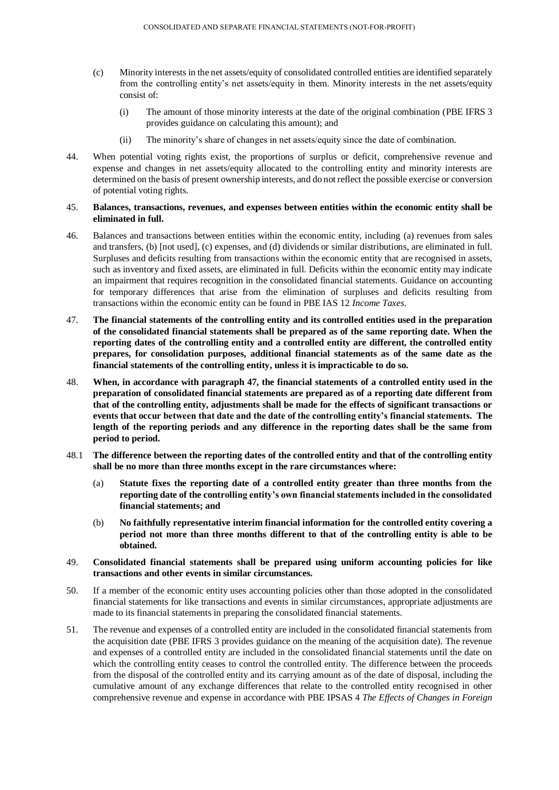- (c) Minority interests in the net assets/equity of consolidated controlled entities are identified separately from the controlling entity's net assets/equity in them. Minority interests in the net assets/equity consist of:
	- (i) The amount of those minority interests at the date of the original combination (PBE IFRS 3 provides guidance on calculating this amount); and
	- (ii) The minority's share of changes in net assets/equity since the date of combination.
- 44. When potential voting rights exist, the proportions of surplus or deficit, comprehensive revenue and expense and changes in net assets/equity allocated to the controlling entity and minority interests are determined on the basis of present ownership interests, and do not reflect the possible exercise or conversion of potential voting rights.

## 45. **Balances, transactions, revenues, and expenses between entities within the economic entity shall be eliminated in full.**

- 46. Balances and transactions between entities within the economic entity, including (a) revenues from sales and transfers, (b) [not used], (c) expenses, and (d) dividends or similar distributions, are eliminated in full. Surpluses and deficits resulting from transactions within the economic entity that are recognised in assets, such as inventory and fixed assets, are eliminated in full. Deficits within the economic entity may indicate an impairment that requires recognition in the consolidated financial statements. Guidance on accounting for temporary differences that arise from the elimination of surpluses and deficits resulting from transactions within the economic entity can be found in PBE IAS 12 *Income Taxes*.
- 47. **The financial statements of the controlling entity and its controlled entities used in the preparation of the consolidated financial statements shall be prepared as of the same reporting date. When the reporting dates of the controlling entity and a controlled entity are different, the controlled entity prepares, for consolidation purposes, additional financial statements as of the same date as the financial statements of the controlling entity, unless it is impracticable to do so.**
- 48. **When, in accordance with paragraph 47, the financial statements of a controlled entity used in the preparation of consolidated financial statements are prepared as of a reporting date different from that of the controlling entity, adjustments shall be made for the effects of significant transactions or events that occur between that date and the date of the controlling entity's financial statements. The length of the reporting periods and any difference in the reporting dates shall be the same from period to period.**
- 48.1 **The difference between the reporting dates of the controlled entity and that of the controlling entity shall be no more than three months except in the rare circumstances where:**
	- (a) **Statute fixes the reporting date of a controlled entity greater than three months from the reporting date of the controlling entity's own financial statements included in the consolidated financial statements; and**
	- (b) **No faithfully representative interim financial information for the controlled entity covering a period not more than three months different to that of the controlling entity is able to be obtained.**
- 49. **Consolidated financial statements shall be prepared using uniform accounting policies for like transactions and other events in similar circumstances.**
- 50. If a member of the economic entity uses accounting policies other than those adopted in the consolidated financial statements for like transactions and events in similar circumstances, appropriate adjustments are made to its financial statements in preparing the consolidated financial statements.
- 51. The revenue and expenses of a controlled entity are included in the consolidated financial statements from the acquisition date (PBE IFRS 3 provides guidance on the meaning of the acquisition date). The revenue and expenses of a controlled entity are included in the consolidated financial statements until the date on which the controlling entity ceases to control the controlled entity. The difference between the proceeds from the disposal of the controlled entity and its carrying amount as of the date of disposal, including the cumulative amount of any exchange differences that relate to the controlled entity recognised in other comprehensive revenue and expense in accordance with PBE IPSAS 4 *The Effects of Changes in Foreign*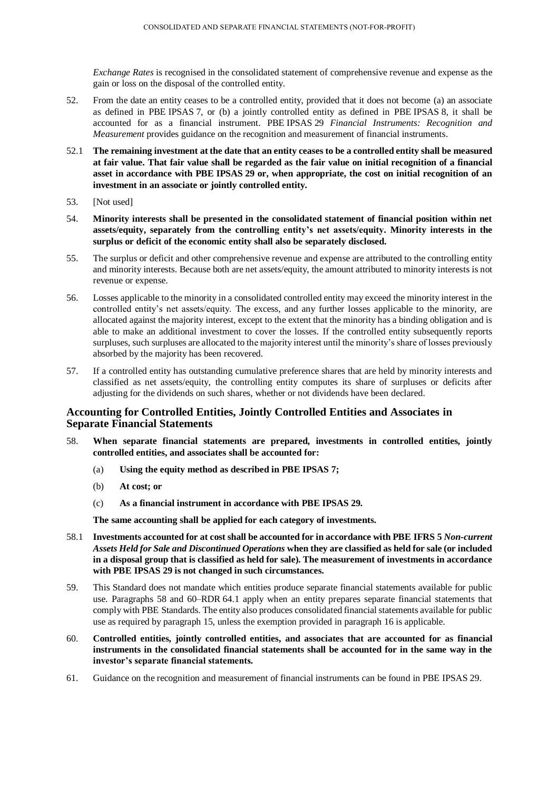*Exchange Rates* is recognised in the consolidated statement of comprehensive revenue and expense as the gain or loss on the disposal of the controlled entity.

- 52. From the date an entity ceases to be a controlled entity, provided that it does not become (a) an associate as defined in PBE IPSAS 7, or (b) a jointly controlled entity as defined in PBE IPSAS 8, it shall be accounted for as a financial instrument. PBE IPSAS 29 *Financial Instruments: Recognition and Measurement* provides guidance on the recognition and measurement of financial instruments.
- 52.1 **The remaining investment at the date that an entity ceases to be a controlled entity shall be measured at fair value. That fair value shall be regarded as the fair value on initial recognition of a financial asset in accordance with PBE IPSAS 29 or, when appropriate, the cost on initial recognition of an investment in an associate or jointly controlled entity.**
- 53. [Not used]
- 54. **Minority interests shall be presented in the consolidated statement of financial position within net assets/equity, separately from the controlling entity's net assets/equity. Minority interests in the surplus or deficit of the economic entity shall also be separately disclosed.**
- 55. The surplus or deficit and other comprehensive revenue and expense are attributed to the controlling entity and minority interests. Because both are net assets/equity, the amount attributed to minority interests is not revenue or expense.
- 56. Losses applicable to the minority in a consolidated controlled entity may exceed the minority interest in the controlled entity's net assets/equity. The excess, and any further losses applicable to the minority, are allocated against the majority interest, except to the extent that the minority has a binding obligation and is able to make an additional investment to cover the losses. If the controlled entity subsequently reports surpluses, such surpluses are allocated to the majority interest until the minority's share of losses previously absorbed by the majority has been recovered.
- 57. If a controlled entity has outstanding cumulative preference shares that are held by minority interests and classified as net assets/equity, the controlling entity computes its share of surpluses or deficits after adjusting for the dividends on such shares, whether or not dividends have been declared.

# **Accounting for Controlled Entities, Jointly Controlled Entities and Associates in Separate Financial Statements**

- 58. **When separate financial statements are prepared, investments in controlled entities, jointly controlled entities, and associates shall be accounted for:**
	- (a) **Using the equity method as described in PBE IPSAS 7;**
	- (b) **At cost; or**
	- (c) **As a financial instrument in accordance with PBE IPSAS 29.**

**The same accounting shall be applied for each category of investments.**

- 58.1 **Investments accounted for at cost shall be accounted for in accordance with PBE IFRS 5** *Non-current Assets Held for Sale and Discontinued Operations* **when they are classified as held for sale (or included in a disposal group that is classified as held for sale). The measurement of investments in accordance with PBE IPSAS 29 is not changed in such circumstances.**
- 59. This Standard does not mandate which entities produce separate financial statements available for public use. Paragraphs 58 and 60–RDR 64.1 apply when an entity prepares separate financial statements that comply with PBE Standards. The entity also produces consolidated financial statements available for public use as required by paragraph 15, unless the exemption provided in paragraph 16 is applicable.
- 60. **Controlled entities, jointly controlled entities, and associates that are accounted for as financial instruments in the consolidated financial statements shall be accounted for in the same way in the investor's separate financial statements.**
- 61. Guidance on the recognition and measurement of financial instruments can be found in PBE IPSAS 29.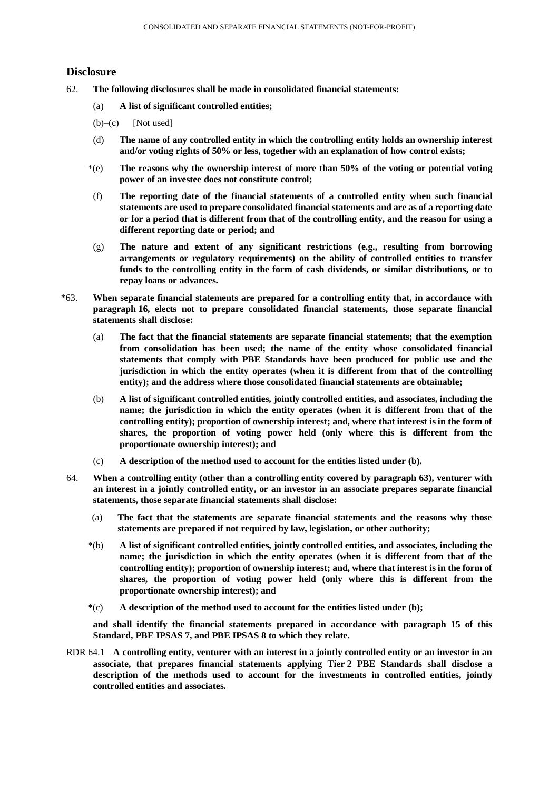# **Disclosure**

- 62. **The following disclosures shall be made in consolidated financial statements:**
	- (a) **A list of significant controlled entities;**
	- $(b)$ – $(c)$  [Not used]
	- (d) **The name of any controlled entity in which the controlling entity holds an ownership interest and/or voting rights of 50% or less, together with an explanation of how control exists;**
	- \*(e) **The reasons why the ownership interest of more than 50% of the voting or potential voting power of an investee does not constitute control;**
	- (f) **The reporting date of the financial statements of a controlled entity when such financial statements are used to prepare consolidated financial statements and are as of a reporting date or for a period that is different from that of the controlling entity, and the reason for using a different reporting date or period; and**
	- (g) **The nature and extent of any significant restrictions (e.g., resulting from borrowing arrangements or regulatory requirements) on the ability of controlled entities to transfer funds to the controlling entity in the form of cash dividends, or similar distributions, or to repay loans or advances.**
- \*63. **When separate financial statements are prepared for a controlling entity that, in accordance with paragraph 16, elects not to prepare consolidated financial statements, those separate financial statements shall disclose:**
	- (a) **The fact that the financial statements are separate financial statements; that the exemption from consolidation has been used; the name of the entity whose consolidated financial statements that comply with PBE Standards have been produced for public use and the jurisdiction in which the entity operates (when it is different from that of the controlling entity); and the address where those consolidated financial statements are obtainable;**
	- (b) **A list of significant controlled entities, jointly controlled entities, and associates, including the name; the jurisdiction in which the entity operates (when it is different from that of the controlling entity); proportion of ownership interest; and, where that interest is in the form of shares, the proportion of voting power held (only where this is different from the proportionate ownership interest); and**
	- (c) **A description of the method used to account for the entities listed under (b).**
- 64. **When a controlling entity (other than a controlling entity covered by paragraph 63), venturer with an interest in a jointly controlled entity, or an investor in an associate prepares separate financial statements, those separate financial statements shall disclose:**
	- (a) **The fact that the statements are separate financial statements and the reasons why those statements are prepared if not required by law, legislation, or other authority;**
	- \*(b) **A list of significant controlled entities, jointly controlled entities, and associates, including the name; the jurisdiction in which the entity operates (when it is different from that of the controlling entity); proportion of ownership interest; and, where that interest is in the form of shares, the proportion of voting power held (only where this is different from the proportionate ownership interest); and**
	- **\***(c) **A description of the method used to account for the entities listed under (b);**

**and shall identify the financial statements prepared in accordance with paragraph 15 of this Standard, PBE IPSAS 7, and PBE IPSAS 8 to which they relate.**

RDR 64.1 **A controlling entity, venturer with an interest in a jointly controlled entity or an investor in an associate, that prepares financial statements applying Tier 2 PBE Standards shall disclose a description of the methods used to account for the investments in controlled entities, jointly controlled entities and associates.**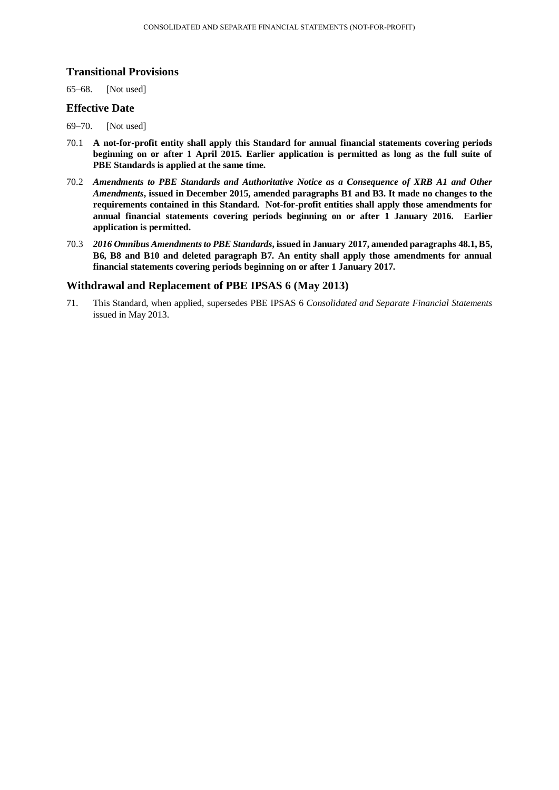# **Transitional Provisions**

65–68. [Not used]

# **Effective Date**

- 69–70. [Not used]
- 70.1 **A not-for-profit entity shall apply this Standard for annual financial statements covering periods beginning on or after 1 April 2015. Earlier application is permitted as long as the full suite of PBE Standards is applied at the same time.**
- 70.2 *Amendments to PBE Standards and Authoritative Notice as a Consequence of XRB A1 and Other Amendments***, issued in December 2015, amended paragraphs B1 and B3. It made no changes to the requirements contained in this Standard. Not-for-profit entities shall apply those amendments for annual financial statements covering periods beginning on or after 1 January 2016. Earlier application is permitted.**
- 70.3 *2016 Omnibus Amendments to PBE Standards***, issued in January 2017, amended paragraphs 48.1, B5, B6, B8 and B10 and deleted paragraph B7. An entity shall apply those amendments for annual financial statements covering periods beginning on or after 1 January 2017.**

# **Withdrawal and Replacement of PBE IPSAS 6 (May 2013)**

71. This Standard, when applied, supersedes PBE IPSAS 6 *Consolidated and Separate Financial Statements*  issued in May 2013.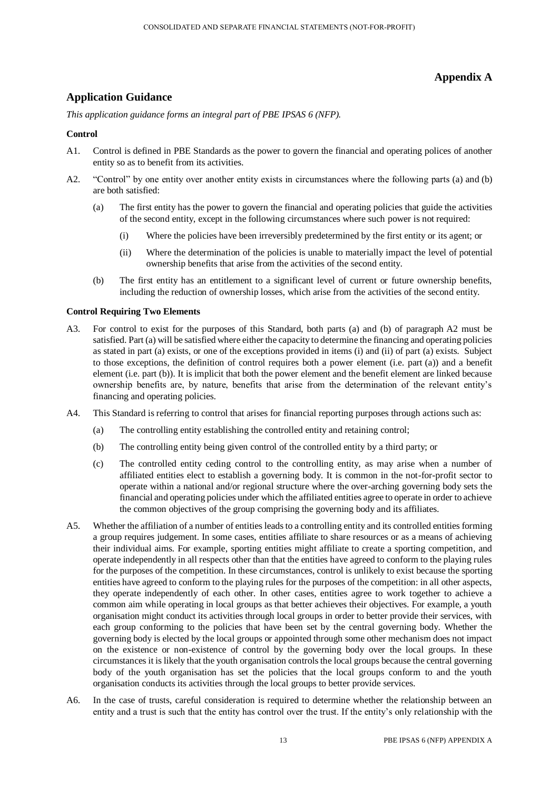# **Appendix A**

# **Application Guidance**

*This application guidance forms an integral part of PBE IPSAS 6 (NFP).*

# **Control**

- A1. Control is defined in PBE Standards as the power to govern the financial and operating polices of another entity so as to benefit from its activities.
- A2. "Control" by one entity over another entity exists in circumstances where the following parts (a) and (b) are both satisfied:
	- (a) The first entity has the power to govern the financial and operating policies that guide the activities of the second entity, except in the following circumstances where such power is not required:
		- (i) Where the policies have been irreversibly predetermined by the first entity or its agent; or
		- (ii) Where the determination of the policies is unable to materially impact the level of potential ownership benefits that arise from the activities of the second entity.
	- (b) The first entity has an entitlement to a significant level of current or future ownership benefits, including the reduction of ownership losses, which arise from the activities of the second entity.

# **Control Requiring Two Elements**

- A3. For control to exist for the purposes of this Standard, both parts (a) and (b) of paragraph A2 must be satisfied. Part (a) will be satisfied where either the capacity to determine the financing and operating policies as stated in part (a) exists, or one of the exceptions provided in items (i) and (ii) of part (a) exists. Subject to those exceptions, the definition of control requires both a power element (i.e. part (a)) and a benefit element (i.e. part (b)). It is implicit that both the power element and the benefit element are linked because ownership benefits are, by nature, benefits that arise from the determination of the relevant entity's financing and operating policies.
- A4. This Standard is referring to control that arises for financial reporting purposes through actions such as:
	- (a) The controlling entity establishing the controlled entity and retaining control;
	- (b) The controlling entity being given control of the controlled entity by a third party; or
	- (c) The controlled entity ceding control to the controlling entity, as may arise when a number of affiliated entities elect to establish a governing body. It is common in the not-for-profit sector to operate within a national and/or regional structure where the over-arching governing body sets the financial and operating policies under which the affiliated entities agree to operate in order to achieve the common objectives of the group comprising the governing body and its affiliates.
- A5. Whether the affiliation of a number of entities leads to a controlling entity and its controlled entities forming a group requires judgement. In some cases, entities affiliate to share resources or as a means of achieving their individual aims. For example, sporting entities might affiliate to create a sporting competition, and operate independently in all respects other than that the entities have agreed to conform to the playing rules for the purposes of the competition. In these circumstances, control is unlikely to exist because the sporting entities have agreed to conform to the playing rules for the purposes of the competition: in all other aspects, they operate independently of each other. In other cases, entities agree to work together to achieve a common aim while operating in local groups as that better achieves their objectives. For example, a youth organisation might conduct its activities through local groups in order to better provide their services, with each group conforming to the policies that have been set by the central governing body. Whether the governing body is elected by the local groups or appointed through some other mechanism does not impact on the existence or non-existence of control by the governing body over the local groups. In these circumstances it is likely that the youth organisation controls the local groups because the central governing body of the youth organisation has set the policies that the local groups conform to and the youth organisation conducts its activities through the local groups to better provide services.
- A6. In the case of trusts, careful consideration is required to determine whether the relationship between an entity and a trust is such that the entity has control over the trust. If the entity's only relationship with the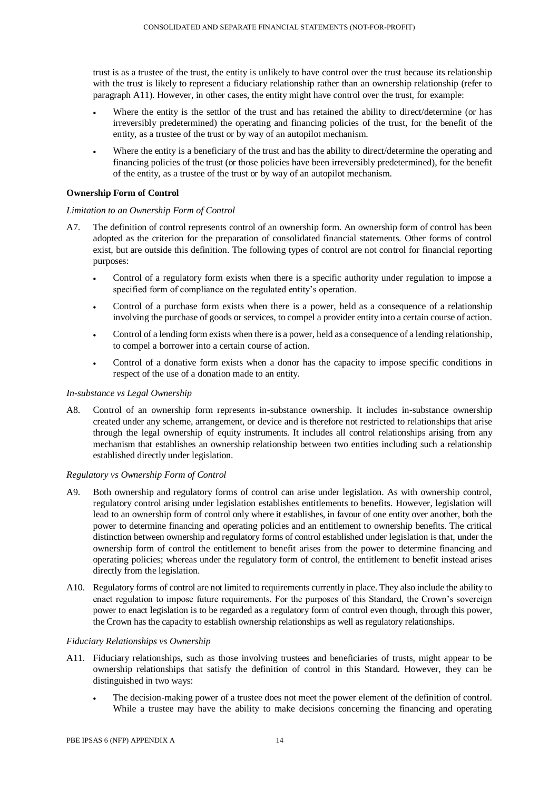trust is as a trustee of the trust, the entity is unlikely to have control over the trust because its relationship with the trust is likely to represent a fiduciary relationship rather than an ownership relationship (refer to paragraph A11). However, in other cases, the entity might have control over the trust, for example:

- Where the entity is the settlor of the trust and has retained the ability to direct/determine (or has irreversibly predetermined) the operating and financing policies of the trust, for the benefit of the entity, as a trustee of the trust or by way of an autopilot mechanism.
- Where the entity is a beneficiary of the trust and has the ability to direct/determine the operating and financing policies of the trust (or those policies have been irreversibly predetermined), for the benefit of the entity, as a trustee of the trust or by way of an autopilot mechanism.

# **Ownership Form of Control**

## *Limitation to an Ownership Form of Control*

- A7. The definition of control represents control of an ownership form. An ownership form of control has been adopted as the criterion for the preparation of consolidated financial statements. Other forms of control exist, but are outside this definition. The following types of control are not control for financial reporting purposes:
	- Control of a regulatory form exists when there is a specific authority under regulation to impose a specified form of compliance on the regulated entity's operation.
	- Control of a purchase form exists when there is a power, held as a consequence of a relationship involving the purchase of goods or services, to compel a provider entity into a certain course of action.
	- Control of a lending form exists when there is a power, held as a consequence of a lending relationship, to compel a borrower into a certain course of action.
	- Control of a donative form exists when a donor has the capacity to impose specific conditions in respect of the use of a donation made to an entity.

#### *In-substance vs Legal Ownership*

A8. Control of an ownership form represents in-substance ownership. It includes in-substance ownership created under any scheme, arrangement, or device and is therefore not restricted to relationships that arise through the legal ownership of equity instruments. It includes all control relationships arising from any mechanism that establishes an ownership relationship between two entities including such a relationship established directly under legislation.

## *Regulatory vs Ownership Form of Control*

- A9. Both ownership and regulatory forms of control can arise under legislation. As with ownership control, regulatory control arising under legislation establishes entitlements to benefits. However, legislation will lead to an ownership form of control only where it establishes, in favour of one entity over another, both the power to determine financing and operating policies and an entitlement to ownership benefits. The critical distinction between ownership and regulatory forms of control established under legislation is that, under the ownership form of control the entitlement to benefit arises from the power to determine financing and operating policies; whereas under the regulatory form of control, the entitlement to benefit instead arises directly from the legislation.
- A10. Regulatory forms of control are not limited to requirements currently in place. They also include the ability to enact regulation to impose future requirements. For the purposes of this Standard, the Crown's sovereign power to enact legislation is to be regarded as a regulatory form of control even though, through this power, the Crown has the capacity to establish ownership relationships as well as regulatory relationships.

#### *Fiduciary Relationships vs Ownership*

- A11. Fiduciary relationships, such as those involving trustees and beneficiaries of trusts, might appear to be ownership relationships that satisfy the definition of control in this Standard. However, they can be distinguished in two ways:
	- The decision-making power of a trustee does not meet the power element of the definition of control. While a trustee may have the ability to make decisions concerning the financing and operating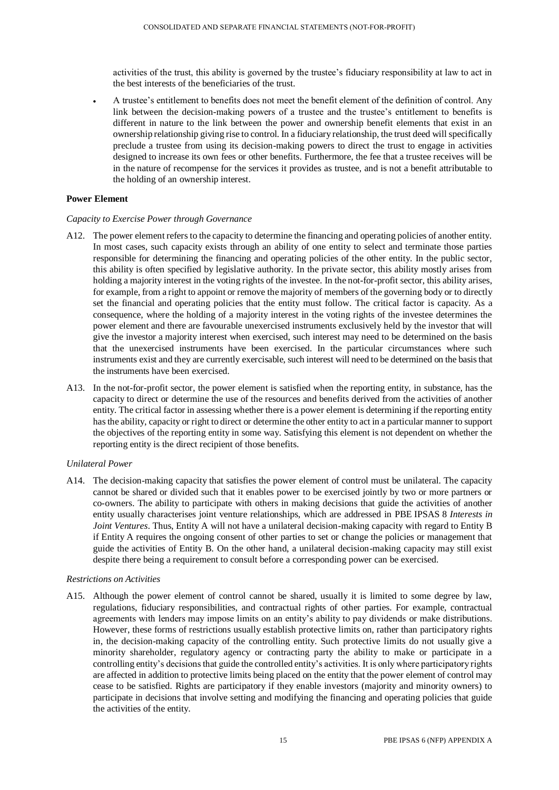activities of the trust, this ability is governed by the trustee's fiduciary responsibility at law to act in the best interests of the beneficiaries of the trust.

 A trustee's entitlement to benefits does not meet the benefit element of the definition of control. Any link between the decision-making powers of a trustee and the trustee's entitlement to benefits is different in nature to the link between the power and ownership benefit elements that exist in an ownership relationship giving rise to control. In a fiduciary relationship, the trust deed will specifically preclude a trustee from using its decision-making powers to direct the trust to engage in activities designed to increase its own fees or other benefits. Furthermore, the fee that a trustee receives will be in the nature of recompense for the services it provides as trustee, and is not a benefit attributable to the holding of an ownership interest.

# **Power Element**

#### *Capacity to Exercise Power through Governance*

- A12. The power element refers to the capacity to determine the financing and operating policies of another entity. In most cases, such capacity exists through an ability of one entity to select and terminate those parties responsible for determining the financing and operating policies of the other entity. In the public sector, this ability is often specified by legislative authority. In the private sector, this ability mostly arises from holding a majority interest in the voting rights of the investee. In the not-for-profit sector, this ability arises, for example, from a right to appoint or remove the majority of members of the governing body or to directly set the financial and operating policies that the entity must follow. The critical factor is capacity. As a consequence, where the holding of a majority interest in the voting rights of the investee determines the power element and there are favourable unexercised instruments exclusively held by the investor that will give the investor a majority interest when exercised, such interest may need to be determined on the basis that the unexercised instruments have been exercised. In the particular circumstances where such instruments exist and they are currently exercisable, such interest will need to be determined on the basis that the instruments have been exercised.
- A13. In the not-for-profit sector, the power element is satisfied when the reporting entity, in substance, has the capacity to direct or determine the use of the resources and benefits derived from the activities of another entity. The critical factor in assessing whether there is a power element is determining if the reporting entity has the ability, capacity or right to direct or determine the other entity to act in a particular manner to support the objectives of the reporting entity in some way. Satisfying this element is not dependent on whether the reporting entity is the direct recipient of those benefits.

## *Unilateral Power*

A14. The decision-making capacity that satisfies the power element of control must be unilateral. The capacity cannot be shared or divided such that it enables power to be exercised jointly by two or more partners or co-owners. The ability to participate with others in making decisions that guide the activities of another entity usually characterises joint venture relationships, which are addressed in PBE IPSAS 8 *Interests in Joint Ventures*. Thus, Entity A will not have a unilateral decision-making capacity with regard to Entity B if Entity A requires the ongoing consent of other parties to set or change the policies or management that guide the activities of Entity B. On the other hand, a unilateral decision-making capacity may still exist despite there being a requirement to consult before a corresponding power can be exercised.

#### *Restrictions on Activities*

A15. Although the power element of control cannot be shared, usually it is limited to some degree by law, regulations, fiduciary responsibilities, and contractual rights of other parties. For example, contractual agreements with lenders may impose limits on an entity's ability to pay dividends or make distributions. However, these forms of restrictions usually establish protective limits on, rather than participatory rights in, the decision-making capacity of the controlling entity. Such protective limits do not usually give a minority shareholder, regulatory agency or contracting party the ability to make or participate in a controlling entity's decisions that guide the controlled entity's activities. It is only where participatory rights are affected in addition to protective limits being placed on the entity that the power element of control may cease to be satisfied. Rights are participatory if they enable investors (majority and minority owners) to participate in decisions that involve setting and modifying the financing and operating policies that guide the activities of the entity.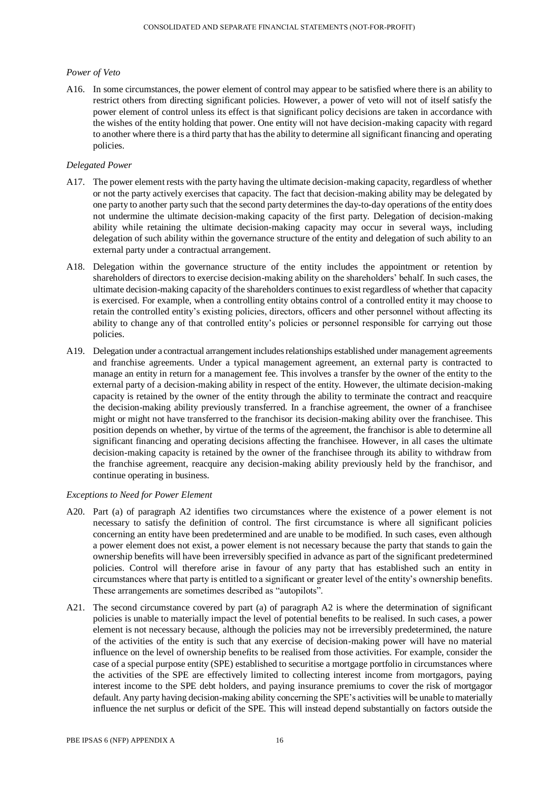# *Power of Veto*

A16. In some circumstances, the power element of control may appear to be satisfied where there is an ability to restrict others from directing significant policies. However, a power of veto will not of itself satisfy the power element of control unless its effect is that significant policy decisions are taken in accordance with the wishes of the entity holding that power. One entity will not have decision-making capacity with regard to another where there is a third party that has the ability to determine all significant financing and operating policies.

# *Delegated Power*

- A17. The power element rests with the party having the ultimate decision-making capacity, regardless of whether or not the party actively exercises that capacity. The fact that decision-making ability may be delegated by one party to another party such that the second party determines the day-to-day operations of the entity does not undermine the ultimate decision-making capacity of the first party. Delegation of decision-making ability while retaining the ultimate decision-making capacity may occur in several ways, including delegation of such ability within the governance structure of the entity and delegation of such ability to an external party under a contractual arrangement.
- A18. Delegation within the governance structure of the entity includes the appointment or retention by shareholders of directors to exercise decision-making ability on the shareholders' behalf. In such cases, the ultimate decision-making capacity of the shareholders continues to exist regardless of whether that capacity is exercised. For example, when a controlling entity obtains control of a controlled entity it may choose to retain the controlled entity's existing policies, directors, officers and other personnel without affecting its ability to change any of that controlled entity's policies or personnel responsible for carrying out those policies.
- A19. Delegation under a contractual arrangement includes relationships established under management agreements and franchise agreements. Under a typical management agreement, an external party is contracted to manage an entity in return for a management fee. This involves a transfer by the owner of the entity to the external party of a decision-making ability in respect of the entity. However, the ultimate decision-making capacity is retained by the owner of the entity through the ability to terminate the contract and reacquire the decision-making ability previously transferred. In a franchise agreement, the owner of a franchisee might or might not have transferred to the franchisor its decision-making ability over the franchisee. This position depends on whether, by virtue of the terms of the agreement, the franchisor is able to determine all significant financing and operating decisions affecting the franchisee. However, in all cases the ultimate decision-making capacity is retained by the owner of the franchisee through its ability to withdraw from the franchise agreement, reacquire any decision-making ability previously held by the franchisor, and continue operating in business.

## *Exceptions to Need for Power Element*

- A20. Part (a) of paragraph A2 identifies two circumstances where the existence of a power element is not necessary to satisfy the definition of control. The first circumstance is where all significant policies concerning an entity have been predetermined and are unable to be modified. In such cases, even although a power element does not exist, a power element is not necessary because the party that stands to gain the ownership benefits will have been irreversibly specified in advance as part of the significant predetermined policies. Control will therefore arise in favour of any party that has established such an entity in circumstances where that party is entitled to a significant or greater level of the entity's ownership benefits. These arrangements are sometimes described as "autopilots".
- A21. The second circumstance covered by part (a) of paragraph A2 is where the determination of significant policies is unable to materially impact the level of potential benefits to be realised. In such cases, a power element is not necessary because, although the policies may not be irreversibly predetermined, the nature of the activities of the entity is such that any exercise of decision-making power will have no material influence on the level of ownership benefits to be realised from those activities. For example, consider the case of a special purpose entity (SPE) established to securitise a mortgage portfolio in circumstances where the activities of the SPE are effectively limited to collecting interest income from mortgagors, paying interest income to the SPE debt holders, and paying insurance premiums to cover the risk of mortgagor default. Any party having decision-making ability concerning the SPE's activities will be unable to materially influence the net surplus or deficit of the SPE. This will instead depend substantially on factors outside the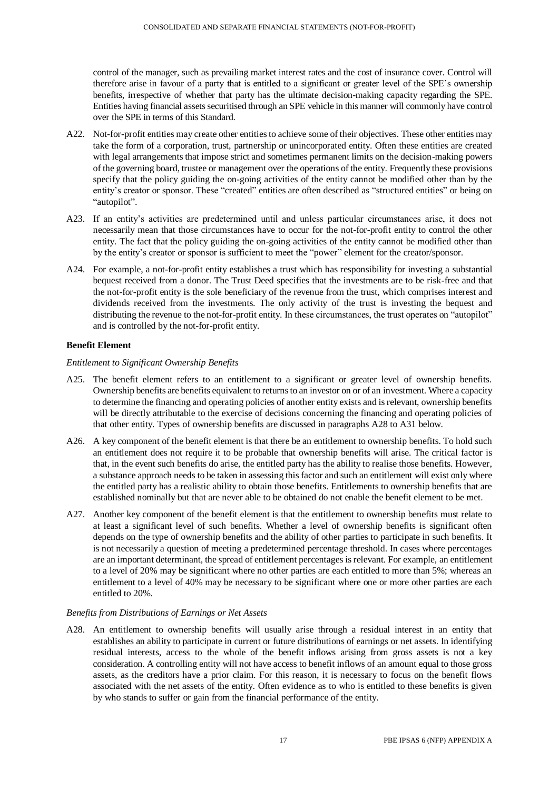control of the manager, such as prevailing market interest rates and the cost of insurance cover. Control will therefore arise in favour of a party that is entitled to a significant or greater level of the SPE's ownership benefits, irrespective of whether that party has the ultimate decision-making capacity regarding the SPE. Entities having financial assets securitised through an SPE vehicle in this manner will commonly have control over the SPE in terms of this Standard.

- A22. Not-for-profit entities may create other entities to achieve some of their objectives. These other entities may take the form of a corporation, trust, partnership or unincorporated entity. Often these entities are created with legal arrangements that impose strict and sometimes permanent limits on the decision-making powers of the governing board, trustee or management over the operations of the entity. Frequently these provisions specify that the policy guiding the on-going activities of the entity cannot be modified other than by the entity's creator or sponsor. These "created" entities are often described as "structured entities" or being on "autopilot".
- A23. If an entity's activities are predetermined until and unless particular circumstances arise, it does not necessarily mean that those circumstances have to occur for the not-for-profit entity to control the other entity. The fact that the policy guiding the on-going activities of the entity cannot be modified other than by the entity's creator or sponsor is sufficient to meet the "power" element for the creator/sponsor.
- A24. For example, a not-for-profit entity establishes a trust which has responsibility for investing a substantial bequest received from a donor. The Trust Deed specifies that the investments are to be risk-free and that the not-for-profit entity is the sole beneficiary of the revenue from the trust, which comprises interest and dividends received from the investments. The only activity of the trust is investing the bequest and distributing the revenue to the not-for-profit entity. In these circumstances, the trust operates on "autopilot" and is controlled by the not-for-profit entity.

# **Benefit Element**

## *Entitlement to Significant Ownership Benefits*

- A25. The benefit element refers to an entitlement to a significant or greater level of ownership benefits. Ownership benefits are benefits equivalent to returns to an investor on or of an investment. Where a capacity to determine the financing and operating policies of another entity exists and is relevant, ownership benefits will be directly attributable to the exercise of decisions concerning the financing and operating policies of that other entity. Types of ownership benefits are discussed in paragraphs A28 to A31 below.
- A26. A key component of the benefit element is that there be an entitlement to ownership benefits. To hold such an entitlement does not require it to be probable that ownership benefits will arise. The critical factor is that, in the event such benefits do arise, the entitled party has the ability to realise those benefits. However, a substance approach needs to be taken in assessing this factor and such an entitlement will exist only where the entitled party has a realistic ability to obtain those benefits. Entitlements to ownership benefits that are established nominally but that are never able to be obtained do not enable the benefit element to be met.
- A27. Another key component of the benefit element is that the entitlement to ownership benefits must relate to at least a significant level of such benefits. Whether a level of ownership benefits is significant often depends on the type of ownership benefits and the ability of other parties to participate in such benefits. It is not necessarily a question of meeting a predetermined percentage threshold. In cases where percentages are an important determinant, the spread of entitlement percentages is relevant. For example, an entitlement to a level of 20% may be significant where no other parties are each entitled to more than 5%; whereas an entitlement to a level of 40% may be necessary to be significant where one or more other parties are each entitled to 20%.

## *Benefits from Distributions of Earnings or Net Assets*

A28. An entitlement to ownership benefits will usually arise through a residual interest in an entity that establishes an ability to participate in current or future distributions of earnings or net assets. In identifying residual interests, access to the whole of the benefit inflows arising from gross assets is not a key consideration. A controlling entity will not have access to benefit inflows of an amount equal to those gross assets, as the creditors have a prior claim. For this reason, it is necessary to focus on the benefit flows associated with the net assets of the entity. Often evidence as to who is entitled to these benefits is given by who stands to suffer or gain from the financial performance of the entity.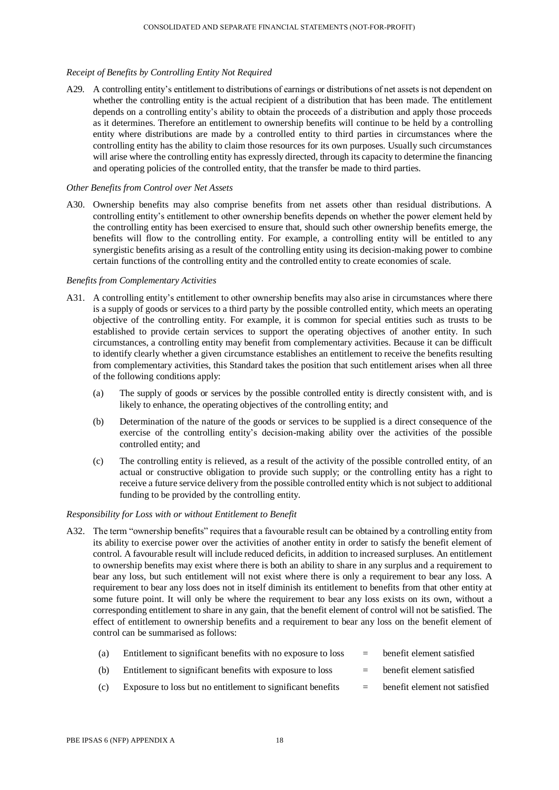# *Receipt of Benefits by Controlling Entity Not Required*

A29. A controlling entity's entitlement to distributions of earnings or distributions of net assets is not dependent on whether the controlling entity is the actual recipient of a distribution that has been made. The entitlement depends on a controlling entity's ability to obtain the proceeds of a distribution and apply those proceeds as it determines. Therefore an entitlement to ownership benefits will continue to be held by a controlling entity where distributions are made by a controlled entity to third parties in circumstances where the controlling entity has the ability to claim those resources for its own purposes. Usually such circumstances will arise where the controlling entity has expressly directed, through its capacity to determine the financing and operating policies of the controlled entity, that the transfer be made to third parties.

### *Other Benefits from Control over Net Assets*

A30. Ownership benefits may also comprise benefits from net assets other than residual distributions. A controlling entity's entitlement to other ownership benefits depends on whether the power element held by the controlling entity has been exercised to ensure that, should such other ownership benefits emerge, the benefits will flow to the controlling entity. For example, a controlling entity will be entitled to any synergistic benefits arising as a result of the controlling entity using its decision-making power to combine certain functions of the controlling entity and the controlled entity to create economies of scale.

#### *Benefits from Complementary Activities*

- A31. A controlling entity's entitlement to other ownership benefits may also arise in circumstances where there is a supply of goods or services to a third party by the possible controlled entity, which meets an operating objective of the controlling entity. For example, it is common for special entities such as trusts to be established to provide certain services to support the operating objectives of another entity. In such circumstances, a controlling entity may benefit from complementary activities. Because it can be difficult to identify clearly whether a given circumstance establishes an entitlement to receive the benefits resulting from complementary activities, this Standard takes the position that such entitlement arises when all three of the following conditions apply:
	- (a) The supply of goods or services by the possible controlled entity is directly consistent with, and is likely to enhance, the operating objectives of the controlling entity; and
	- (b) Determination of the nature of the goods or services to be supplied is a direct consequence of the exercise of the controlling entity's decision-making ability over the activities of the possible controlled entity; and
	- (c) The controlling entity is relieved, as a result of the activity of the possible controlled entity, of an actual or constructive obligation to provide such supply; or the controlling entity has a right to receive a future service delivery from the possible controlled entity which is not subject to additional funding to be provided by the controlling entity.

## *Responsibility for Loss with or without Entitlement to Benefit*

- A32. The term "ownership benefits" requires that a favourable result can be obtained by a controlling entity from its ability to exercise power over the activities of another entity in order to satisfy the benefit element of control. A favourable result will include reduced deficits, in addition to increased surpluses. An entitlement to ownership benefits may exist where there is both an ability to share in any surplus and a requirement to bear any loss, but such entitlement will not exist where there is only a requirement to bear any loss. A requirement to bear any loss does not in itself diminish its entitlement to benefits from that other entity at some future point. It will only be where the requirement to bear any loss exists on its own, without a corresponding entitlement to share in any gain, that the benefit element of control will not be satisfied. The effect of entitlement to ownership benefits and a requirement to bear any loss on the benefit element of control can be summarised as follows:
	- (a) Entitlement to significant benefits with no exposure to loss  $=$  benefit element satisfied
	- (b) Entitlement to significant benefits with exposure to loss  $=$  benefit element satisfied
	- (c) Exposure to loss but no entitlement to significant benefits  $=$  benefit element not satisfied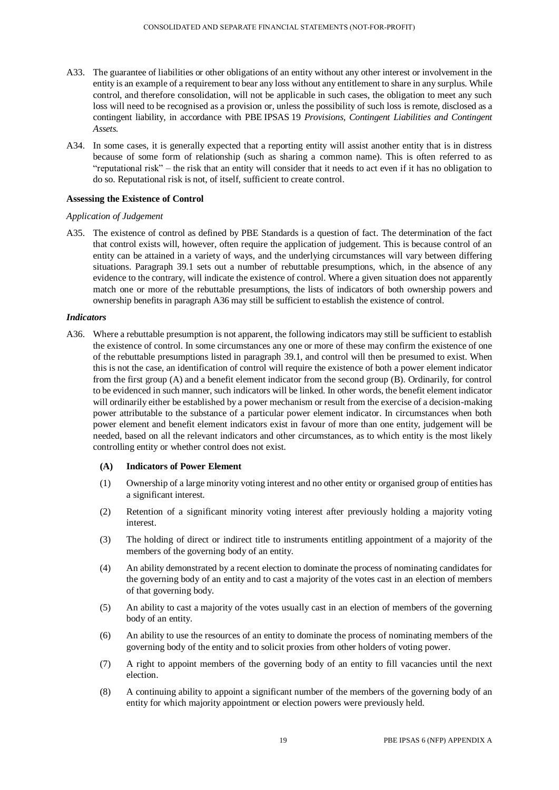- A33. The guarantee of liabilities or other obligations of an entity without any other interest or involvement in the entity is an example of a requirement to bear any loss without any entitlement to share in any surplus. While control, and therefore consolidation, will not be applicable in such cases, the obligation to meet any such loss will need to be recognised as a provision or, unless the possibility of such loss is remote, disclosed as a contingent liability, in accordance with PBE IPSAS 19 *Provisions, Contingent Liabilities and Contingent Assets.*
- A34. In some cases, it is generally expected that a reporting entity will assist another entity that is in distress because of some form of relationship (such as sharing a common name). This is often referred to as "reputational risk" – the risk that an entity will consider that it needs to act even if it has no obligation to do so. Reputational risk is not, of itself, sufficient to create control.

# **Assessing the Existence of Control**

## *Application of Judgement*

A35. The existence of control as defined by PBE Standards is a question of fact. The determination of the fact that control exists will, however, often require the application of judgement. This is because control of an entity can be attained in a variety of ways, and the underlying circumstances will vary between differing situations. Paragraph 39.1 sets out a number of rebuttable presumptions, which, in the absence of any evidence to the contrary, will indicate the existence of control. Where a given situation does not apparently match one or more of the rebuttable presumptions, the lists of indicators of both ownership powers and ownership benefits in paragraph A36 may still be sufficient to establish the existence of control.

## *Indicators*

A36. Where a rebuttable presumption is not apparent, the following indicators may still be sufficient to establish the existence of control. In some circumstances any one or more of these may confirm the existence of one of the rebuttable presumptions listed in paragraph 39.1, and control will then be presumed to exist. When this is not the case, an identification of control will require the existence of both a power element indicator from the first group (A) and a benefit element indicator from the second group (B). Ordinarily, for control to be evidenced in such manner, such indicators will be linked. In other words, the benefit element indicator will ordinarily either be established by a power mechanism or result from the exercise of a decision-making power attributable to the substance of a particular power element indicator. In circumstances when both power element and benefit element indicators exist in favour of more than one entity, judgement will be needed, based on all the relevant indicators and other circumstances, as to which entity is the most likely controlling entity or whether control does not exist.

## **(A) Indicators of Power Element**

- (1) Ownership of a large minority voting interest and no other entity or organised group of entities has a significant interest.
- (2) Retention of a significant minority voting interest after previously holding a majority voting interest.
- (3) The holding of direct or indirect title to instruments entitling appointment of a majority of the members of the governing body of an entity.
- (4) An ability demonstrated by a recent election to dominate the process of nominating candidates for the governing body of an entity and to cast a majority of the votes cast in an election of members of that governing body.
- (5) An ability to cast a majority of the votes usually cast in an election of members of the governing body of an entity.
- (6) An ability to use the resources of an entity to dominate the process of nominating members of the governing body of the entity and to solicit proxies from other holders of voting power.
- (7) A right to appoint members of the governing body of an entity to fill vacancies until the next election.
- (8) A continuing ability to appoint a significant number of the members of the governing body of an entity for which majority appointment or election powers were previously held.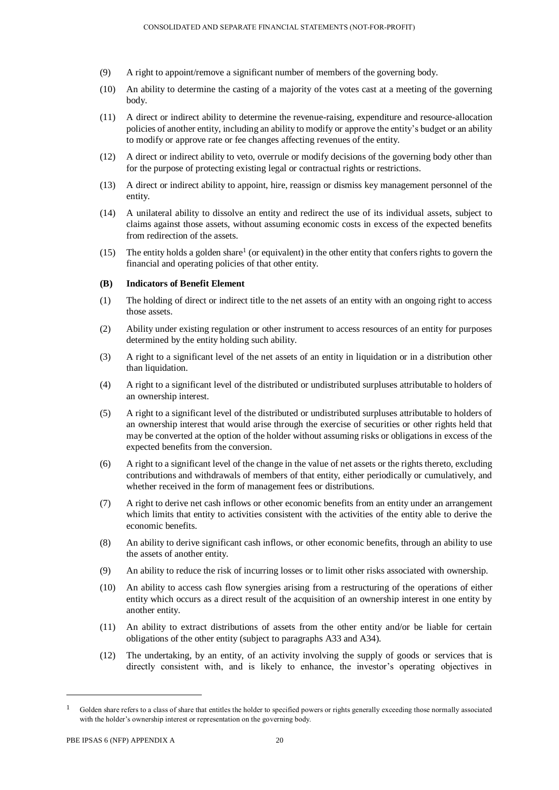- (9) A right to appoint/remove a significant number of members of the governing body.
- (10) An ability to determine the casting of a majority of the votes cast at a meeting of the governing body.
- (11) A direct or indirect ability to determine the revenue-raising, expenditure and resource-allocation policies of another entity, including an ability to modify or approve the entity's budget or an ability to modify or approve rate or fee changes affecting revenues of the entity.
- (12) A direct or indirect ability to veto, overrule or modify decisions of the governing body other than for the purpose of protecting existing legal or contractual rights or restrictions.
- (13) A direct or indirect ability to appoint, hire, reassign or dismiss key management personnel of the entity.
- (14) A unilateral ability to dissolve an entity and redirect the use of its individual assets, subject to claims against those assets, without assuming economic costs in excess of the expected benefits from redirection of the assets.
- (15) The entity holds a golden share<sup>1</sup> (or equivalent) in the other entity that confers rights to govern the financial and operating policies of that other entity.

#### **(B) Indicators of Benefit Element**

- (1) The holding of direct or indirect title to the net assets of an entity with an ongoing right to access those assets.
- (2) Ability under existing regulation or other instrument to access resources of an entity for purposes determined by the entity holding such ability.
- (3) A right to a significant level of the net assets of an entity in liquidation or in a distribution other than liquidation.
- (4) A right to a significant level of the distributed or undistributed surpluses attributable to holders of an ownership interest.
- (5) A right to a significant level of the distributed or undistributed surpluses attributable to holders of an ownership interest that would arise through the exercise of securities or other rights held that may be converted at the option of the holder without assuming risks or obligations in excess of the expected benefits from the conversion.
- (6) A right to a significant level of the change in the value of net assets or the rights thereto, excluding contributions and withdrawals of members of that entity, either periodically or cumulatively, and whether received in the form of management fees or distributions.
- (7) A right to derive net cash inflows or other economic benefits from an entity under an arrangement which limits that entity to activities consistent with the activities of the entity able to derive the economic benefits.
- (8) An ability to derive significant cash inflows, or other economic benefits, through an ability to use the assets of another entity.
- (9) An ability to reduce the risk of incurring losses or to limit other risks associated with ownership.
- (10) An ability to access cash flow synergies arising from a restructuring of the operations of either entity which occurs as a direct result of the acquisition of an ownership interest in one entity by another entity.
- (11) An ability to extract distributions of assets from the other entity and/or be liable for certain obligations of the other entity (subject to paragraphs A33 and A34).
- (12) The undertaking, by an entity, of an activity involving the supply of goods or services that is directly consistent with, and is likely to enhance, the investor's operating objectives in

l

 $<sup>1</sup>$  Golden share refers to a class of share that entitles the holder to specified powers or rights generally exceeding those normally associated</sup> with the holder's ownership interest or representation on the governing body.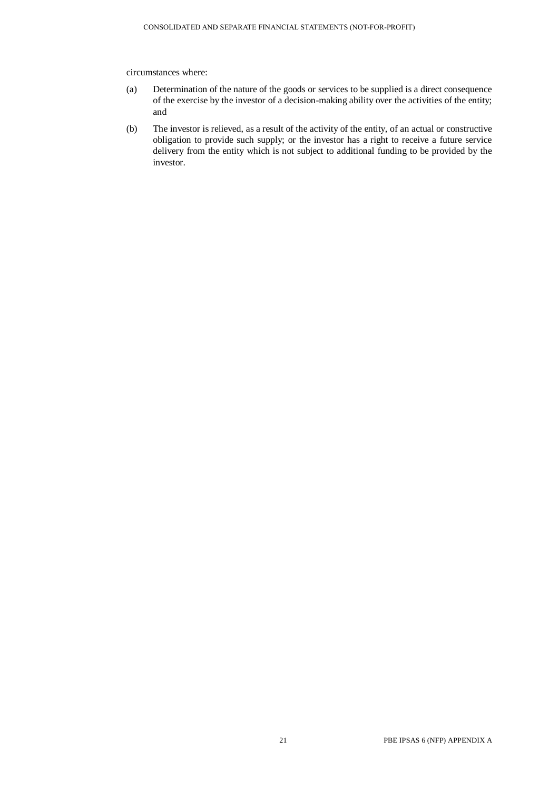circumstances where:

- (a) Determination of the nature of the goods or services to be supplied is a direct consequence of the exercise by the investor of a decision-making ability over the activities of the entity; and
- (b) The investor is relieved, as a result of the activity of the entity, of an actual or constructive obligation to provide such supply; or the investor has a right to receive a future service delivery from the entity which is not subject to additional funding to be provided by the investor.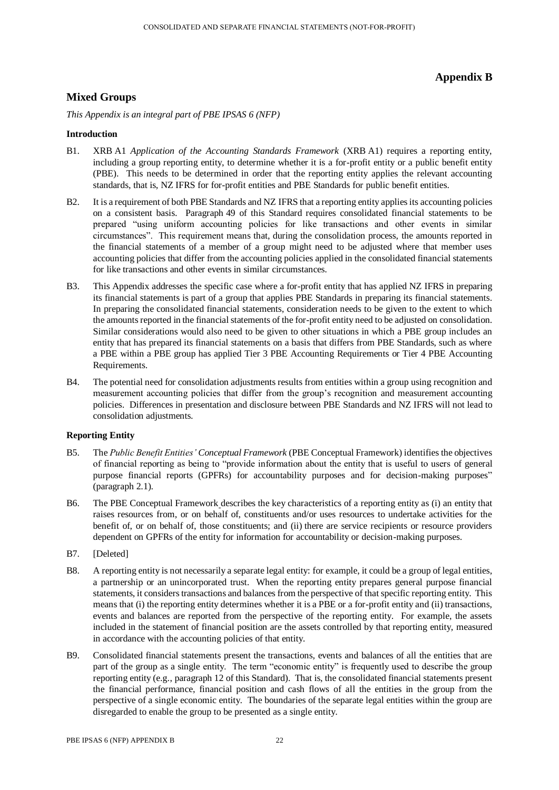# **Appendix B**

# **Mixed Groups**

*This Appendix is an integral part of PBE IPSAS 6 (NFP)*

# **Introduction**

- B1. XRB A1 *Application of the Accounting Standards Framework* (XRB A1) requires a reporting entity, including a group reporting entity, to determine whether it is a for-profit entity or a public benefit entity (PBE). This needs to be determined in order that the reporting entity applies the relevant accounting standards, that is, NZ IFRS for for-profit entities and PBE Standards for public benefit entities.
- B2. It is a requirement of both PBE Standards and NZ IFRS that a reporting entity applies its accounting policies on a consistent basis. Paragraph 49 of this Standard requires consolidated financial statements to be prepared "using uniform accounting policies for like transactions and other events in similar circumstances". This requirement means that, during the consolidation process, the amounts reported in the financial statements of a member of a group might need to be adjusted where that member uses accounting policies that differ from the accounting policies applied in the consolidated financial statements for like transactions and other events in similar circumstances.
- B3. This Appendix addresses the specific case where a for-profit entity that has applied NZ IFRS in preparing its financial statements is part of a group that applies PBE Standards in preparing its financial statements. In preparing the consolidated financial statements, consideration needs to be given to the extent to which the amounts reported in the financial statements of the for-profit entity need to be adjusted on consolidation. Similar considerations would also need to be given to other situations in which a PBE group includes an entity that has prepared its financial statements on a basis that differs from PBE Standards, such as where a PBE within a PBE group has applied Tier 3 PBE Accounting Requirements or Tier 4 PBE Accounting Requirements.
- B4. The potential need for consolidation adjustments results from entities within a group using recognition and measurement accounting policies that differ from the group's recognition and measurement accounting policies. Differences in presentation and disclosure between PBE Standards and NZ IFRS will not lead to consolidation adjustments.

# **Reporting Entity**

- B5. The *Public Benefit Entities' Conceptual Framework* (PBE Conceptual Framework) identifies the objectives of financial reporting as being to "provide information about the entity that is useful to users of general purpose financial reports (GPFRs) for accountability purposes and for decision-making purposes" (paragraph 2.1).
- B6. The PBE Conceptual Framework describes the key characteristics of a reporting entity as (i) an entity that raises resources from, or on behalf of, constituents and/or uses resources to undertake activities for the benefit of, or on behalf of, those constituents; and (ii) there are service recipients or resource providers dependent on GPFRs of the entity for information for accountability or decision-making purposes.
- B7. [Deleted]
- B8. A reporting entity is not necessarily a separate legal entity: for example, it could be a group of legal entities, a partnership or an unincorporated trust. When the reporting entity prepares general purpose financial statements, it considers transactions and balances from the perspective of that specific reporting entity. This means that (i) the reporting entity determines whether it is a PBE or a for-profit entity and (ii) transactions, events and balances are reported from the perspective of the reporting entity. For example, the assets included in the statement of financial position are the assets controlled by that reporting entity, measured in accordance with the accounting policies of that entity.
- B9. Consolidated financial statements present the transactions, events and balances of all the entities that are part of the group as a single entity. The term "economic entity" is frequently used to describe the group reporting entity (e.g., paragraph 12 of this Standard). That is, the consolidated financial statements present the financial performance, financial position and cash flows of all the entities in the group from the perspective of a single economic entity. The boundaries of the separate legal entities within the group are disregarded to enable the group to be presented as a single entity.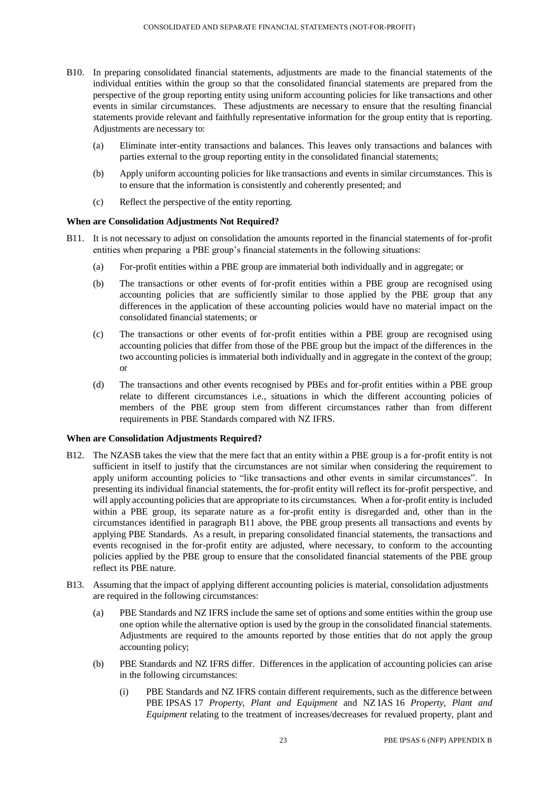- B10. In preparing consolidated financial statements, adjustments are made to the financial statements of the individual entities within the group so that the consolidated financial statements are prepared from the perspective of the group reporting entity using uniform accounting policies for like transactions and other events in similar circumstances. These adjustments are necessary to ensure that the resulting financial statements provide relevant and faithfully representative information for the group entity that is reporting. Adjustments are necessary to:
	- (a) Eliminate inter-entity transactions and balances. This leaves only transactions and balances with parties external to the group reporting entity in the consolidated financial statements;
	- (b) Apply uniform accounting policies for like transactions and events in similar circumstances. This is to ensure that the information is consistently and coherently presented; and
	- (c) Reflect the perspective of the entity reporting.

## **When are Consolidation Adjustments Not Required?**

- B11. It is not necessary to adjust on consolidation the amounts reported in the financial statements of for-profit entities when preparing a PBE group's financial statements in the following situations:
	- (a) For-profit entities within a PBE group are immaterial both individually and in aggregate; or
	- (b) The transactions or other events of for-profit entities within a PBE group are recognised using accounting policies that are sufficiently similar to those applied by the PBE group that any differences in the application of these accounting policies would have no material impact on the consolidated financial statements; or
	- (c) The transactions or other events of for-profit entities within a PBE group are recognised using accounting policies that differ from those of the PBE group but the impact of the differences in the two accounting policies is immaterial both individually and in aggregate in the context of the group; or
	- (d) The transactions and other events recognised by PBEs and for-profit entities within a PBE group relate to different circumstances i.e., situations in which the different accounting policies of members of the PBE group stem from different circumstances rather than from different requirements in PBE Standards compared with NZ IFRS.

## **When are Consolidation Adjustments Required?**

- B12. The NZASB takes the view that the mere fact that an entity within a PBE group is a for-profit entity is not sufficient in itself to justify that the circumstances are not similar when considering the requirement to apply uniform accounting policies to "like transactions and other events in similar circumstances". In presenting its individual financial statements, the for-profit entity will reflect its for-profit perspective, and will apply accounting policies that are appropriate to its circumstances. When a for-profit entity is included within a PBE group, its separate nature as a for-profit entity is disregarded and, other than in the circumstances identified in paragraph B11 above, the PBE group presents all transactions and events by applying PBE Standards. As a result, in preparing consolidated financial statements, the transactions and events recognised in the for-profit entity are adjusted, where necessary, to conform to the accounting policies applied by the PBE group to ensure that the consolidated financial statements of the PBE group reflect its PBE nature.
- B13. Assuming that the impact of applying different accounting policies is material, consolidation adjustments are required in the following circumstances:
	- (a) PBE Standards and NZ IFRS include the same set of options and some entities within the group use one option while the alternative option is used by the group in the consolidated financial statements. Adjustments are required to the amounts reported by those entities that do not apply the group accounting policy;
	- (b) PBE Standards and NZ IFRS differ. Differences in the application of accounting policies can arise in the following circumstances:
		- (i) PBE Standards and NZ IFRS contain different requirements, such as the difference between PBE IPSAS 17 *Property, Plant and Equipment* and NZ IAS 16 *Property, Plant and Equipment* relating to the treatment of increases/decreases for revalued property, plant and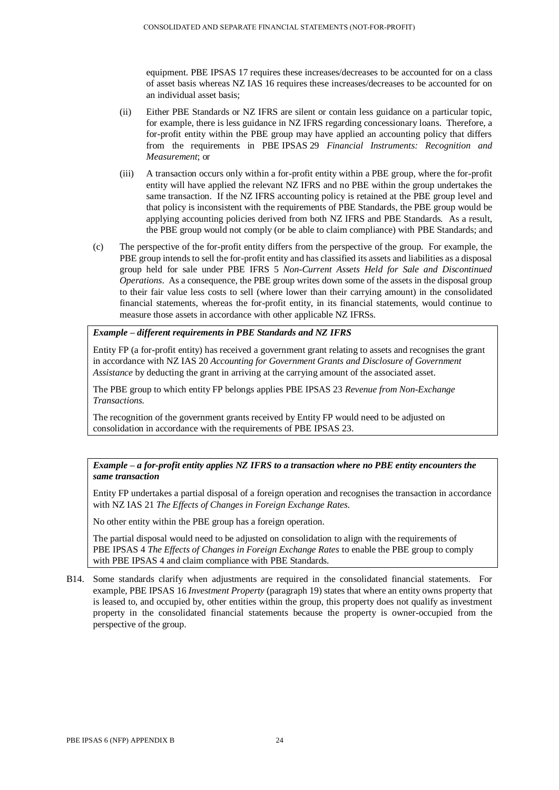equipment. PBE IPSAS 17 requires these increases/decreases to be accounted for on a class of asset basis whereas NZ IAS 16 requires these increases/decreases to be accounted for on an individual asset basis;

- (ii) Either PBE Standards or NZ IFRS are silent or contain less guidance on a particular topic, for example, there is less guidance in NZ IFRS regarding concessionary loans. Therefore, a for-profit entity within the PBE group may have applied an accounting policy that differs from the requirements in PBE IPSAS 29 *Financial Instruments: Recognition and Measurement*; or
- (iii) A transaction occurs only within a for-profit entity within a PBE group, where the for-profit entity will have applied the relevant NZ IFRS and no PBE within the group undertakes the same transaction. If the NZ IFRS accounting policy is retained at the PBE group level and that policy is inconsistent with the requirements of PBE Standards, the PBE group would be applying accounting policies derived from both NZ IFRS and PBE Standards. As a result, the PBE group would not comply (or be able to claim compliance) with PBE Standards; and
- (c) The perspective of the for-profit entity differs from the perspective of the group. For example, the PBE group intends to sell the for-profit entity and has classified its assets and liabilities as a disposal group held for sale under PBE IFRS 5 *Non-Current Assets Held for Sale and Discontinued Operations*. As a consequence, the PBE group writes down some of the assets in the disposal group to their fair value less costs to sell (where lower than their carrying amount) in the consolidated financial statements, whereas the for-profit entity, in its financial statements, would continue to measure those assets in accordance with other applicable NZ IFRSs.

## *Example – different requirements in PBE Standards and NZ IFRS*

Entity FP (a for-profit entity) has received a government grant relating to assets and recognises the grant in accordance with NZ IAS 20 *Accounting for Government Grants and Disclosure of Government Assistance* by deducting the grant in arriving at the carrying amount of the associated asset.

The PBE group to which entity FP belongs applies PBE IPSAS 23 *Revenue from Non-Exchange Transactions.*

The recognition of the government grants received by Entity FP would need to be adjusted on consolidation in accordance with the requirements of PBE IPSAS 23.

# *Example – a for-profit entity applies NZ IFRS to a transaction where no PBE entity encounters the same transaction*

Entity FP undertakes a partial disposal of a foreign operation and recognises the transaction in accordance with NZ IAS 21 *The Effects of Changes in Foreign Exchange Rates.*

No other entity within the PBE group has a foreign operation.

The partial disposal would need to be adjusted on consolidation to align with the requirements of PBE IPSAS 4 *The Effects of Changes in Foreign Exchange Rates* to enable the PBE group to comply with PBE IPSAS 4 and claim compliance with PBE Standards.

B14. Some standards clarify when adjustments are required in the consolidated financial statements. For example, PBE IPSAS 16 *Investment Property* (paragraph 19) states that where an entity owns property that is leased to, and occupied by, other entities within the group, this property does not qualify as investment property in the consolidated financial statements because the property is owner-occupied from the perspective of the group.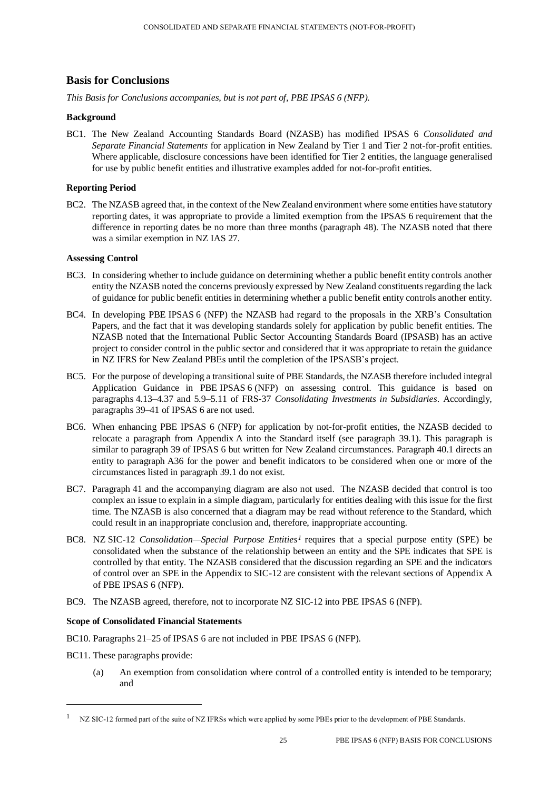# **Basis for Conclusions**

*This Basis for Conclusions accompanies, but is not part of, PBE IPSAS 6 (NFP).* 

# **Background**

BC1. The New Zealand Accounting Standards Board (NZASB) has modified IPSAS 6 *Consolidated and Separate Financial Statements* for application in New Zealand by Tier 1 and Tier 2 not-for-profit entities. Where applicable, disclosure concessions have been identified for Tier 2 entities, the language generalised for use by public benefit entities and illustrative examples added for not-for-profit entities.

## **Reporting Period**

BC2. The NZASB agreed that, in the context of the New Zealand environment where some entities have statutory reporting dates, it was appropriate to provide a limited exemption from the IPSAS 6 requirement that the difference in reporting dates be no more than three months (paragraph 48). The NZASB noted that there was a similar exemption in NZ IAS 27.

#### **Assessing Control**

- BC3. In considering whether to include guidance on determining whether a public benefit entity controls another entity the NZASB noted the concerns previously expressed by New Zealand constituents regarding the lack of guidance for public benefit entities in determining whether a public benefit entity controls another entity.
- BC4. In developing PBE IPSAS 6 (NFP) the NZASB had regard to the proposals in the XRB's Consultation Papers, and the fact that it was developing standards solely for application by public benefit entities. The NZASB noted that the International Public Sector Accounting Standards Board (IPSASB) has an active project to consider control in the public sector and considered that it was appropriate to retain the guidance in NZ IFRS for New Zealand PBEs until the completion of the IPSASB's project.
- BC5. For the purpose of developing a transitional suite of PBE Standards, the NZASB therefore included integral Application Guidance in PBE IPSAS 6 (NFP) on assessing control. This guidance is based on paragraphs 4.13–4.37 and 5.9–5.11 of FRS-37 *Consolidating Investments in Subsidiaries*. Accordingly, paragraphs 39–41 of IPSAS 6 are not used.
- BC6. When enhancing PBE IPSAS 6 (NFP) for application by not-for-profit entities, the NZASB decided to relocate a paragraph from Appendix A into the Standard itself (see paragraph 39.1). This paragraph is similar to paragraph 39 of IPSAS 6 but written for New Zealand circumstances. Paragraph 40.1 directs an entity to paragraph A36 for the power and benefit indicators to be considered when one or more of the circumstances listed in paragraph 39.1 do not exist.
- BC7. Paragraph 41 and the accompanying diagram are also not used. The NZASB decided that control is too complex an issue to explain in a simple diagram, particularly for entities dealing with this issue for the first time. The NZASB is also concerned that a diagram may be read without reference to the Standard, which could result in an inappropriate conclusion and, therefore, inappropriate accounting.
- BC8. NZ SIC-12 *Consolidation—Special Purpose Entities<sup>1</sup>* requires that a special purpose entity (SPE) be consolidated when the substance of the relationship between an entity and the SPE indicates that SPE is controlled by that entity. The NZASB considered that the discussion regarding an SPE and the indicators of control over an SPE in the Appendix to SIC-12 are consistent with the relevant sections of Appendix A of PBE IPSAS 6 (NFP).
- BC9. The NZASB agreed, therefore, not to incorporate NZ SIC-12 into PBE IPSAS 6 (NFP).

#### **Scope of Consolidated Financial Statements**

- BC10. Paragraphs 21–25 of IPSAS 6 are not included in PBE IPSAS 6 (NFP).
- BC11. These paragraphs provide:

l

(a) An exemption from consolidation where control of a controlled entity is intended to be temporary; and

<sup>&</sup>lt;sup>1</sup> NZ SIC-12 formed part of the suite of NZ IFRSs which were applied by some PBEs prior to the development of PBE Standards.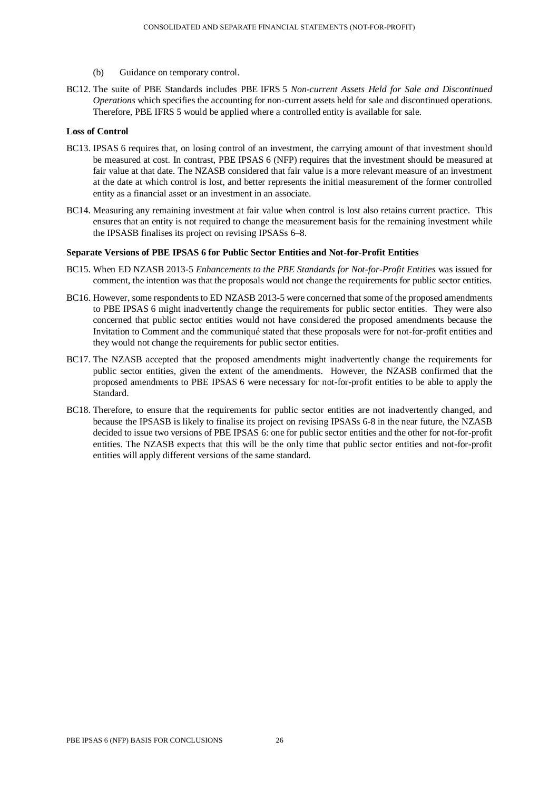- (b) Guidance on temporary control.
- BC12. The suite of PBE Standards includes PBE IFRS 5 *Non-current Assets Held for Sale and Discontinued Operations* which specifies the accounting for non-current assets held for sale and discontinued operations. Therefore, PBE IFRS 5 would be applied where a controlled entity is available for sale.

### **Loss of Control**

- BC13. IPSAS 6 requires that, on losing control of an investment, the carrying amount of that investment should be measured at cost. In contrast, PBE IPSAS 6 (NFP) requires that the investment should be measured at fair value at that date. The NZASB considered that fair value is a more relevant measure of an investment at the date at which control is lost, and better represents the initial measurement of the former controlled entity as a financial asset or an investment in an associate.
- BC14. Measuring any remaining investment at fair value when control is lost also retains current practice. This ensures that an entity is not required to change the measurement basis for the remaining investment while the IPSASB finalises its project on revising IPSASs 6–8.

#### **Separate Versions of PBE IPSAS 6 for Public Sector Entities and Not-for-Profit Entities**

- BC15. When ED NZASB 2013-5 *Enhancements to the PBE Standards for Not-for-Profit Entities* was issued for comment, the intention was that the proposals would not change the requirements for public sector entities.
- BC16. However, some respondents to ED NZASB 2013-5 were concerned that some of the proposed amendments to PBE IPSAS 6 might inadvertently change the requirements for public sector entities. They were also concerned that public sector entities would not have considered the proposed amendments because the Invitation to Comment and the communiqué stated that these proposals were for not-for-profit entities and they would not change the requirements for public sector entities.
- BC17. The NZASB accepted that the proposed amendments might inadvertently change the requirements for public sector entities, given the extent of the amendments. However, the NZASB confirmed that the proposed amendments to PBE IPSAS 6 were necessary for not-for-profit entities to be able to apply the Standard.
- BC18. Therefore, to ensure that the requirements for public sector entities are not inadvertently changed, and because the IPSASB is likely to finalise its project on revising IPSASs 6-8 in the near future, the NZASB decided to issue two versions of PBE IPSAS 6: one for public sector entities and the other for not-for-profit entities. The NZASB expects that this will be the only time that public sector entities and not-for-profit entities will apply different versions of the same standard.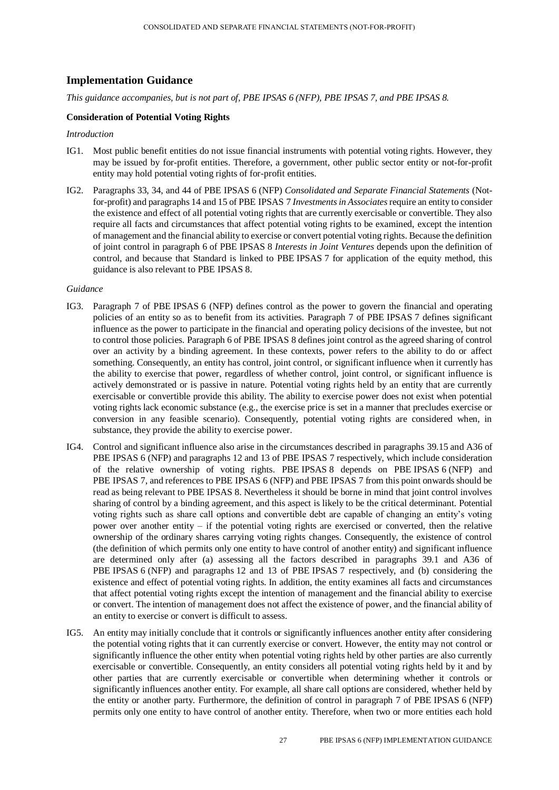# **Implementation Guidance**

*This guidance accompanies, but is not part of, PBE IPSAS 6 (NFP), PBE IPSAS 7, and PBE IPSAS 8.*

## **Consideration of Potential Voting Rights**

#### *Introduction*

- IG1. Most public benefit entities do not issue financial instruments with potential voting rights. However, they may be issued by for-profit entities. Therefore, a government, other public sector entity or not-for-profit entity may hold potential voting rights of for-profit entities.
- IG2. Paragraphs 33, 34, and 44 of PBE IPSAS 6 (NFP) *Consolidated and Separate Financial Statements* (Notfor-profit) and paragraphs 14 and 15 of PBE IPSAS 7 *Investments in Associates* require an entity to consider the existence and effect of all potential voting rights that are currently exercisable or convertible. They also require all facts and circumstances that affect potential voting rights to be examined, except the intention of management and the financial ability to exercise or convert potential voting rights. Because the definition of joint control in paragraph 6 of PBE IPSAS 8 *Interests in Joint Ventures* depends upon the definition of control, and because that Standard is linked to PBE IPSAS 7 for application of the equity method, this guidance is also relevant to PBE IPSAS 8.

#### *Guidance*

- IG3. Paragraph 7 of PBE IPSAS 6 (NFP) defines control as the power to govern the financial and operating policies of an entity so as to benefit from its activities. Paragraph 7 of PBE IPSAS 7 defines significant influence as the power to participate in the financial and operating policy decisions of the investee, but not to control those policies. Paragraph 6 of PBE IPSAS 8 defines joint control as the agreed sharing of control over an activity by a binding agreement. In these contexts, power refers to the ability to do or affect something. Consequently, an entity has control, joint control, or significant influence when it currently has the ability to exercise that power, regardless of whether control, joint control, or significant influence is actively demonstrated or is passive in nature. Potential voting rights held by an entity that are currently exercisable or convertible provide this ability. The ability to exercise power does not exist when potential voting rights lack economic substance (e.g., the exercise price is set in a manner that precludes exercise or conversion in any feasible scenario). Consequently, potential voting rights are considered when, in substance, they provide the ability to exercise power.
- IG4. Control and significant influence also arise in the circumstances described in paragraphs 39.15 and A36 of PBE IPSAS 6 (NFP) and paragraphs 12 and 13 of PBE IPSAS 7 respectively, which include consideration of the relative ownership of voting rights. PBE IPSAS 8 depends on PBE IPSAS 6 (NFP) and PBE IPSAS 7, and references to PBE IPSAS 6 (NFP) and PBE IPSAS 7 from this point onwards should be read as being relevant to PBE IPSAS 8. Nevertheless it should be borne in mind that joint control involves sharing of control by a binding agreement, and this aspect is likely to be the critical determinant. Potential voting rights such as share call options and convertible debt are capable of changing an entity's voting power over another entity – if the potential voting rights are exercised or converted, then the relative ownership of the ordinary shares carrying voting rights changes. Consequently, the existence of control (the definition of which permits only one entity to have control of another entity) and significant influence are determined only after (a) assessing all the factors described in paragraphs 39.1 and A36 of PBE IPSAS 6 (NFP) and paragraphs 12 and 13 of PBE IPSAS 7 respectively, and (b) considering the existence and effect of potential voting rights. In addition, the entity examines all facts and circumstances that affect potential voting rights except the intention of management and the financial ability to exercise or convert. The intention of management does not affect the existence of power, and the financial ability of an entity to exercise or convert is difficult to assess.
- IG5. An entity may initially conclude that it controls or significantly influences another entity after considering the potential voting rights that it can currently exercise or convert. However, the entity may not control or significantly influence the other entity when potential voting rights held by other parties are also currently exercisable or convertible. Consequently, an entity considers all potential voting rights held by it and by other parties that are currently exercisable or convertible when determining whether it controls or significantly influences another entity. For example, all share call options are considered, whether held by the entity or another party. Furthermore, the definition of control in paragraph 7 of PBE IPSAS 6 (NFP) permits only one entity to have control of another entity. Therefore, when two or more entities each hold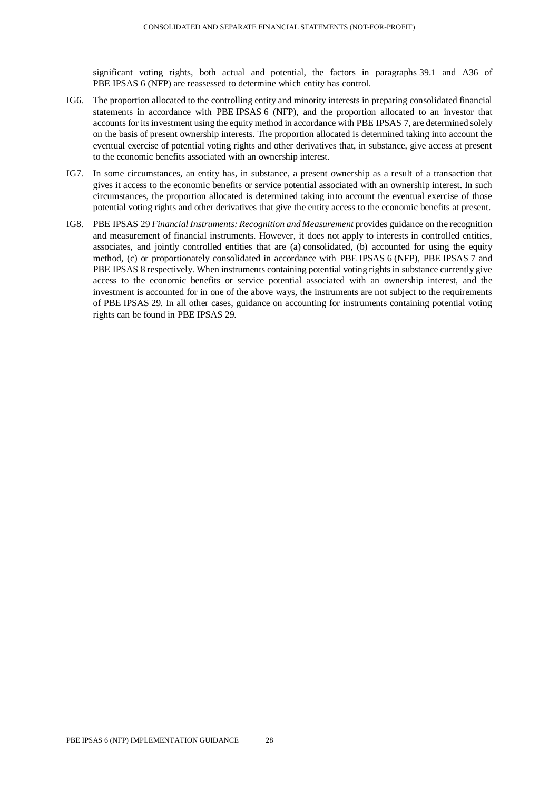significant voting rights, both actual and potential, the factors in paragraphs 39.1 and A36 of PBE IPSAS 6 (NFP) are reassessed to determine which entity has control.

- IG6. The proportion allocated to the controlling entity and minority interests in preparing consolidated financial statements in accordance with PBE IPSAS 6 (NFP), and the proportion allocated to an investor that accounts for its investment using the equity method in accordance with PBE IPSAS 7, are determined solely on the basis of present ownership interests. The proportion allocated is determined taking into account the eventual exercise of potential voting rights and other derivatives that, in substance, give access at present to the economic benefits associated with an ownership interest.
- IG7. In some circumstances, an entity has, in substance, a present ownership as a result of a transaction that gives it access to the economic benefits or service potential associated with an ownership interest. In such circumstances, the proportion allocated is determined taking into account the eventual exercise of those potential voting rights and other derivatives that give the entity access to the economic benefits at present.
- IG8. PBE IPSAS 29 *Financial Instruments: Recognition and Measurement* provides guidance on the recognition and measurement of financial instruments. However, it does not apply to interests in controlled entities, associates, and jointly controlled entities that are (a) consolidated, (b) accounted for using the equity method, (c) or proportionately consolidated in accordance with PBE IPSAS 6 (NFP), PBE IPSAS 7 and PBE IPSAS 8 respectively. When instruments containing potential voting rights in substance currently give access to the economic benefits or service potential associated with an ownership interest, and the investment is accounted for in one of the above ways, the instruments are not subject to the requirements of PBE IPSAS 29. In all other cases, guidance on accounting for instruments containing potential voting rights can be found in PBE IPSAS 29.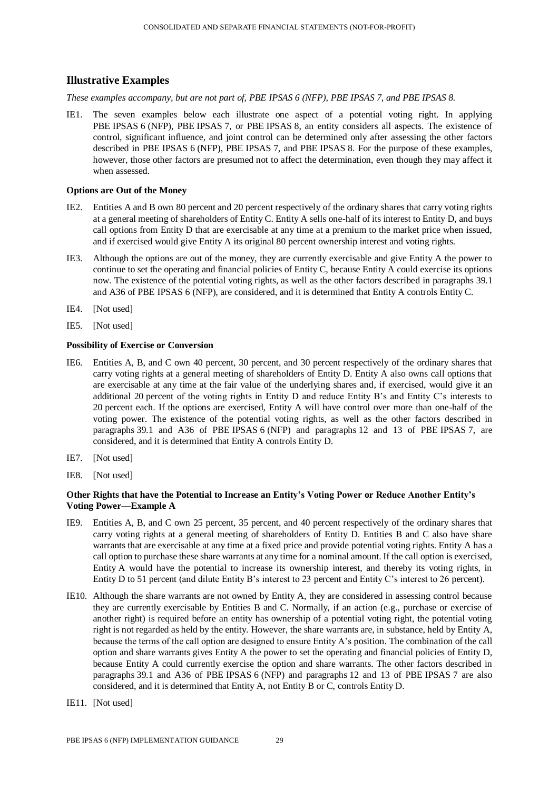# **Illustrative Examples**

*These examples accompany, but are not part of, PBE IPSAS 6 (NFP), PBE IPSAS 7, and PBE IPSAS 8.*

IE1. The seven examples below each illustrate one aspect of a potential voting right. In applying PBE IPSAS 6 (NFP), PBE IPSAS 7, or PBE IPSAS 8, an entity considers all aspects. The existence of control, significant influence, and joint control can be determined only after assessing the other factors described in PBE IPSAS 6 (NFP), PBE IPSAS 7, and PBE IPSAS 8. For the purpose of these examples, however, those other factors are presumed not to affect the determination, even though they may affect it when assessed.

### **Options are Out of the Money**

- IE2. Entities A and B own 80 percent and 20 percent respectively of the ordinary shares that carry voting rights at a general meeting of shareholders of Entity C. Entity A sells one-half of its interest to Entity D, and buys call options from Entity D that are exercisable at any time at a premium to the market price when issued, and if exercised would give Entity A its original 80 percent ownership interest and voting rights.
- IE3. Although the options are out of the money, they are currently exercisable and give Entity A the power to continue to set the operating and financial policies of Entity C, because Entity A could exercise its options now. The existence of the potential voting rights, as well as the other factors described in paragraphs 39.1 and A36 of PBE IPSAS 6 (NFP), are considered, and it is determined that Entity A controls Entity C.
- IE4. [Not used]
- IE5. [Not used]

# **Possibility of Exercise or Conversion**

- IE6. Entities A, B, and C own 40 percent, 30 percent, and 30 percent respectively of the ordinary shares that carry voting rights at a general meeting of shareholders of Entity D. Entity A also owns call options that are exercisable at any time at the fair value of the underlying shares and, if exercised, would give it an additional 20 percent of the voting rights in Entity D and reduce Entity B's and Entity C's interests to 20 percent each. If the options are exercised, Entity A will have control over more than one-half of the voting power. The existence of the potential voting rights, as well as the other factors described in paragraphs 39.1 and A36 of PBE IPSAS 6 (NFP) and paragraphs 12 and 13 of PBE IPSAS 7, are considered, and it is determined that Entity A controls Entity D.
- IE7. [Not used]
- IE8. [Not used]

## **Other Rights that have the Potential to Increase an Entity's Voting Power or Reduce Another Entity's Voting Power—Example A**

- IE9. Entities A, B, and C own 25 percent, 35 percent, and 40 percent respectively of the ordinary shares that carry voting rights at a general meeting of shareholders of Entity D. Entities B and C also have share warrants that are exercisable at any time at a fixed price and provide potential voting rights. Entity A has a call option to purchase these share warrants at any time for a nominal amount. If the call option is exercised, Entity A would have the potential to increase its ownership interest, and thereby its voting rights, in Entity D to 51 percent (and dilute Entity B's interest to 23 percent and Entity C's interest to 26 percent).
- IE10. Although the share warrants are not owned by Entity A, they are considered in assessing control because they are currently exercisable by Entities B and C. Normally, if an action (e.g., purchase or exercise of another right) is required before an entity has ownership of a potential voting right, the potential voting right is not regarded as held by the entity. However, the share warrants are, in substance, held by Entity A, because the terms of the call option are designed to ensure Entity A's position. The combination of the call option and share warrants gives Entity A the power to set the operating and financial policies of Entity D, because Entity A could currently exercise the option and share warrants. The other factors described in paragraphs 39.1 and A36 of PBE IPSAS 6 (NFP) and paragraphs 12 and 13 of PBE IPSAS 7 are also considered, and it is determined that Entity A, not Entity B or C, controls Entity D.
- IE11. [Not used]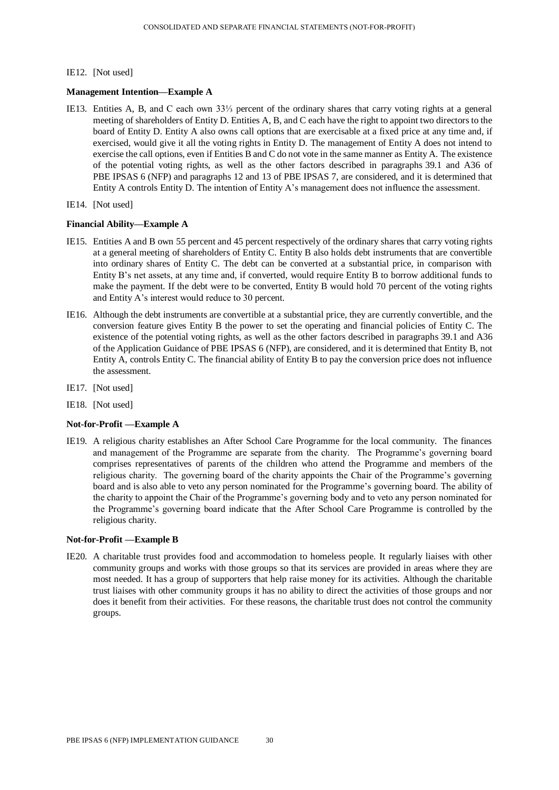## IE12. [Not used]

## **Management Intention—Example A**

- IE13. Entities A, B, and C each own 33⅓ percent of the ordinary shares that carry voting rights at a general meeting of shareholders of Entity D. Entities A, B, and C each have the right to appoint two directors to the board of Entity D. Entity A also owns call options that are exercisable at a fixed price at any time and, if exercised, would give it all the voting rights in Entity D. The management of Entity A does not intend to exercise the call options, even if Entities B and C do not vote in the same manner as Entity A. The existence of the potential voting rights, as well as the other factors described in paragraphs 39.1 and A36 of PBE IPSAS 6 (NFP) and paragraphs 12 and 13 of PBE IPSAS 7, are considered, and it is determined that Entity A controls Entity D. The intention of Entity A's management does not influence the assessment.
- IE14. [Not used]

#### **Financial Ability—Example A**

- IE15. Entities A and B own 55 percent and 45 percent respectively of the ordinary shares that carry voting rights at a general meeting of shareholders of Entity C. Entity B also holds debt instruments that are convertible into ordinary shares of Entity C. The debt can be converted at a substantial price, in comparison with Entity B's net assets, at any time and, if converted, would require Entity B to borrow additional funds to make the payment. If the debt were to be converted, Entity B would hold 70 percent of the voting rights and Entity A's interest would reduce to 30 percent.
- IE16. Although the debt instruments are convertible at a substantial price, they are currently convertible, and the conversion feature gives Entity B the power to set the operating and financial policies of Entity C. The existence of the potential voting rights, as well as the other factors described in paragraphs 39.1 and A36 of the Application Guidance of PBE IPSAS 6 (NFP), are considered, and it is determined that Entity B, not Entity A, controls Entity C. The financial ability of Entity B to pay the conversion price does not influence the assessment.
- IE17. [Not used]
- IE18. [Not used]

#### **Not-for-Profit —Example A**

IE19. A religious charity establishes an After School Care Programme for the local community. The finances and management of the Programme are separate from the charity. The Programme's governing board comprises representatives of parents of the children who attend the Programme and members of the religious charity. The governing board of the charity appoints the Chair of the Programme's governing board and is also able to veto any person nominated for the Programme's governing board. The ability of the charity to appoint the Chair of the Programme's governing body and to veto any person nominated for the Programme's governing board indicate that the After School Care Programme is controlled by the religious charity.

#### **Not-for-Profit —Example B**

IE20. A charitable trust provides food and accommodation to homeless people. It regularly liaises with other community groups and works with those groups so that its services are provided in areas where they are most needed. It has a group of supporters that help raise money for its activities. Although the charitable trust liaises with other community groups it has no ability to direct the activities of those groups and nor does it benefit from their activities. For these reasons, the charitable trust does not control the community groups.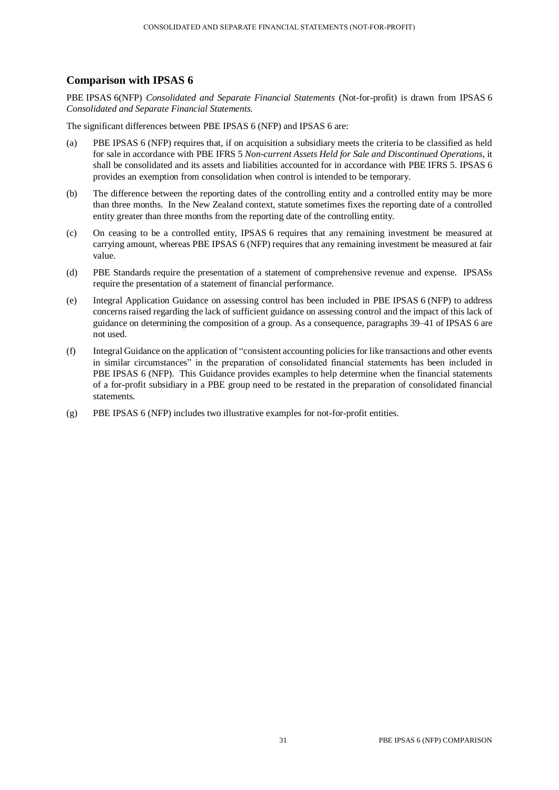# **Comparison with IPSAS 6**

PBE IPSAS 6(NFP) *Consolidated and Separate Financial Statements* (Not-for-profit) is drawn from IPSAS 6 *Consolidated and Separate Financial Statements.*

The significant differences between PBE IPSAS 6 (NFP) and IPSAS 6 are:

- (a) PBE IPSAS 6 (NFP) requires that, if on acquisition a subsidiary meets the criteria to be classified as held for sale in accordance with PBE IFRS 5 *Non-current Assets Held for Sale and Discontinued Operations*, it shall be consolidated and its assets and liabilities accounted for in accordance with PBE IFRS 5. IPSAS 6 provides an exemption from consolidation when control is intended to be temporary.
- (b) The difference between the reporting dates of the controlling entity and a controlled entity may be more than three months. In the New Zealand context, statute sometimes fixes the reporting date of a controlled entity greater than three months from the reporting date of the controlling entity.
- (c) On ceasing to be a controlled entity, IPSAS 6 requires that any remaining investment be measured at carrying amount, whereas PBE IPSAS 6 (NFP) requires that any remaining investment be measured at fair value.
- (d) PBE Standards require the presentation of a statement of comprehensive revenue and expense. IPSASs require the presentation of a statement of financial performance.
- (e) Integral Application Guidance on assessing control has been included in PBE IPSAS 6 (NFP) to address concerns raised regarding the lack of sufficient guidance on assessing control and the impact of this lack of guidance on determining the composition of a group. As a consequence, paragraphs 39–41 of IPSAS 6 are not used.
- (f) Integral Guidance on the application of "consistent accounting policies for like transactions and other events in similar circumstances" in the preparation of consolidated financial statements has been included in PBE IPSAS 6 (NFP). This Guidance provides examples to help determine when the financial statements of a for-profit subsidiary in a PBE group need to be restated in the preparation of consolidated financial statements.
- (g) PBE IPSAS 6 (NFP) includes two illustrative examples for not-for-profit entities.